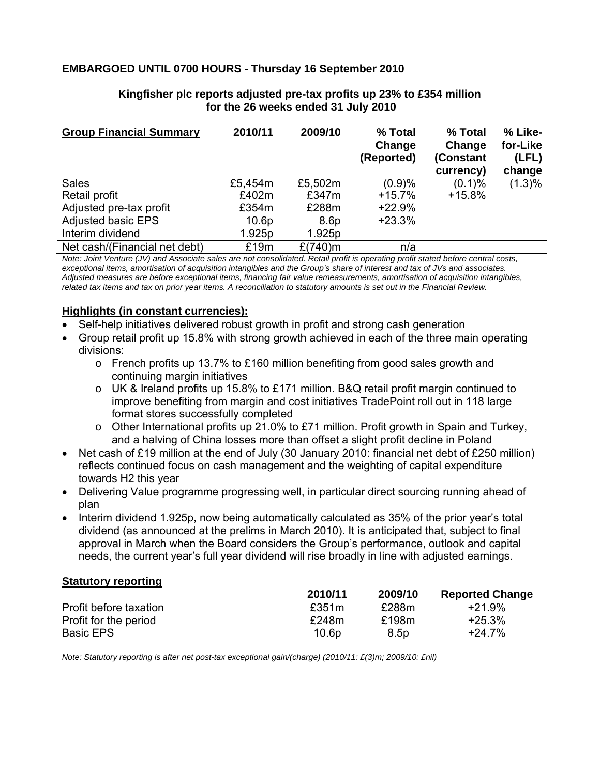# **EMBARGOED UNTIL 0700 HOURS - Thursday 16 September 2010**

### **Kingfisher plc reports adjusted pre-tax profits up 23% to £354 million for the 26 weeks ended 31 July 2010**

| <b>Group Financial Summary</b> | 2010/11           | 2009/10          | % Total<br>Change<br>(Reported) | % Total<br>Change<br>(Constant<br>currency) | % Like-<br>for-Like<br>(LFL)<br>change |
|--------------------------------|-------------------|------------------|---------------------------------|---------------------------------------------|----------------------------------------|
| <b>Sales</b>                   | £5,454m           | £5,502m          | (0.9)%                          | $(0.1)\%$                                   | (1.3)%                                 |
| Retail profit                  | £402m             | £347m            | $+15.7\%$                       | $+15.8%$                                    |                                        |
| Adjusted pre-tax profit        | £354m             | £288m            | $+22.9%$                        |                                             |                                        |
| <b>Adjusted basic EPS</b>      | 10.6 <sub>p</sub> | 8.6 <sub>p</sub> | $+23.3%$                        |                                             |                                        |
| Interim dividend               | 1.925p            | 1.925p           |                                 |                                             |                                        |
| Net cash/(Financial net debt)  | £19m              | £(740)m          | n/a                             |                                             |                                        |

*Note: Joint Venture (JV) and Associate sales are not consolidated. Retail profit is operating profit stated before central costs, exceptional items, amortisation of acquisition intangibles and the Group's share of interest and tax of JVs and associates. Adjusted measures are before exceptional items, financing fair value remeasurements, amortisation of acquisition intangibles, related tax items and tax on prior year items. A reconciliation to statutory amounts is set out in the Financial Review.* 

## **Highlights (in constant currencies):**

- Self-help initiatives delivered robust growth in profit and strong cash generation
- Group retail profit up 15.8% with strong growth achieved in each of the three main operating divisions:
	- $\circ$  French profits up 13.7% to £160 million benefiting from good sales growth and continuing margin initiatives
	- o UK & Ireland profits up 15.8% to £171 million. B&Q retail profit margin continued to improve benefiting from margin and cost initiatives TradePoint roll out in 118 large format stores successfully completed
	- $\circ$  Other International profits up 21.0% to £71 million. Profit growth in Spain and Turkey, and a halving of China losses more than offset a slight profit decline in Poland
- Net cash of £19 million at the end of July (30 January 2010: financial net debt of £250 million) reflects continued focus on cash management and the weighting of capital expenditure towards H2 this year
- Delivering Value programme progressing well, in particular direct sourcing running ahead of plan
- Interim dividend 1.925p, now being automatically calculated as 35% of the prior year's total dividend (as announced at the prelims in March 2010). It is anticipated that, subject to final approval in March when the Board considers the Group's performance, outlook and capital needs, the current year's full year dividend will rise broadly in line with adjusted earnings.

### **Statutory reporting**

|                        | 2010/11           | 2009/10 | <b>Reported Change</b> |
|------------------------|-------------------|---------|------------------------|
| Profit before taxation | £351m             | £288m   | $+21.9%$               |
| Profit for the period  | £248m             | £198m   | $+25.3%$               |
| <b>Basic EPS</b>       | 10.6 <sub>p</sub> | 8.5p    | +24.7%                 |

*Note: Statutory reporting is after net post-tax exceptional gain/(charge) (2010/11: £(3)m; 2009/10: £nil)*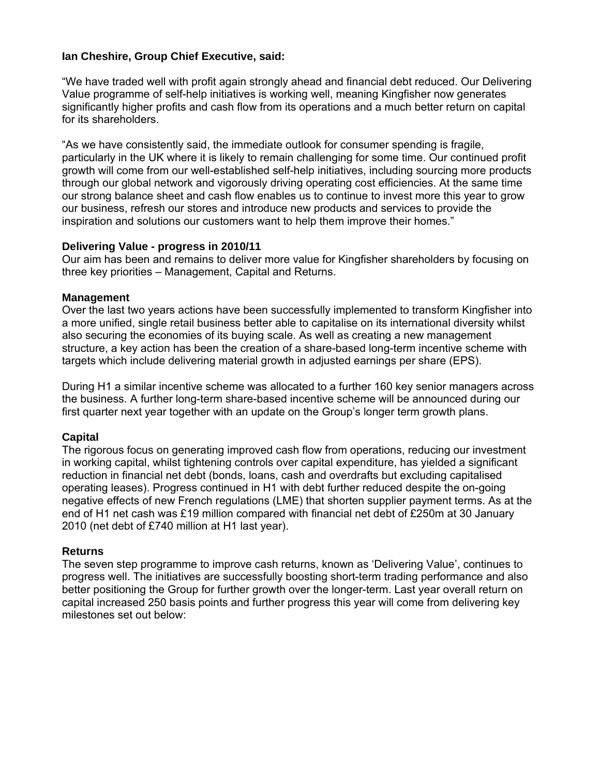## **Ian Cheshire, Group Chief Executive, said:**

"We have traded well with profit again strongly ahead and financial debt reduced. Our Delivering Value programme of self-help initiatives is working well, meaning Kingfisher now generates significantly higher profits and cash flow from its operations and a much better return on capital for its shareholders.

"As we have consistently said, the immediate outlook for consumer spending is fragile, particularly in the UK where it is likely to remain challenging for some time. Our continued profit growth will come from our well-established self-help initiatives, including sourcing more products through our global network and vigorously driving operating cost efficiencies. At the same time our strong balance sheet and cash flow enables us to continue to invest more this year to grow our business, refresh our stores and introduce new products and services to provide the inspiration and solutions our customers want to help them improve their homes."

### **Delivering Value - progress in 2010/11**

Our aim has been and remains to deliver more value for Kingfisher shareholders by focusing on three key priorities – Management, Capital and Returns.

### **Management**

Over the last two years actions have been successfully implemented to transform Kingfisher into a more unified, single retail business better able to capitalise on its international diversity whilst also securing the economies of its buying scale. As well as creating a new management structure, a key action has been the creation of a share-based long-term incentive scheme with targets which include delivering material growth in adjusted earnings per share (EPS).

During H1 a similar incentive scheme was allocated to a further 160 key senior managers across the business. A further long-term share-based incentive scheme will be announced during our first quarter next year together with an update on the Group's longer term growth plans.

## **Capital**

The rigorous focus on generating improved cash flow from operations, reducing our investment in working capital, whilst tightening controls over capital expenditure, has yielded a significant reduction in financial net debt (bonds, loans, cash and overdrafts but excluding capitalised operating leases). Progress continued in H1 with debt further reduced despite the on-going negative effects of new French regulations (LME) that shorten supplier payment terms. As at the end of H1 net cash was £19 million compared with financial net debt of £250m at 30 January 2010 (net debt of £740 million at H1 last year).

### **Returns**

The seven step programme to improve cash returns, known as 'Delivering Value', continues to progress well. The initiatives are successfully boosting short-term trading performance and also better positioning the Group for further growth over the longer-term. Last year overall return on capital increased 250 basis points and further progress this year will come from delivering key milestones set out below: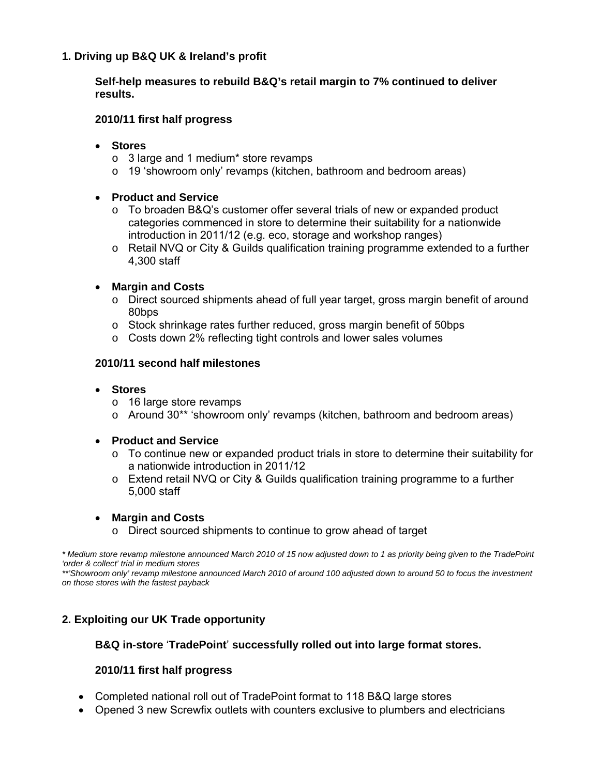# **1. Driving up B&Q UK & Ireland's profit**

**Self-help measures to rebuild B&Q's retail margin to 7% continued to deliver results.** 

### **2010/11 first half progress**

- **Stores** 
	- o 3 large and 1 medium\* store revamps
	- o 19 'showroom only' revamps (kitchen, bathroom and bedroom areas)

### • **Product and Service**

- o To broaden B&Q's customer offer several trials of new or expanded product categories commenced in store to determine their suitability for a nationwide introduction in 2011/12 (e.g. eco, storage and workshop ranges)
- $\circ$  Retail NVQ or City & Guilds qualification training programme extended to a further 4,300 staff

## • **Margin and Costs**

- o Direct sourced shipments ahead of full year target, gross margin benefit of around 80bps
- o Stock shrinkage rates further reduced, gross margin benefit of 50bps
- o Costs down 2% reflecting tight controls and lower sales volumes

### **2010/11 second half milestones**

- **Stores** 
	- o 16 large store revamps
	- $\circ$  Around 30<sup>\*\*</sup> 'showroom only' revamps (kitchen, bathroom and bedroom areas)

### • **Product and Service**

- $\circ$  To continue new or expanded product trials in store to determine their suitability for a nationwide introduction in 2011/12
- o Extend retail NVQ or City & Guilds qualification training programme to a further 5,000 staff

### • **Margin and Costs**

o Direct sourced shipments to continue to grow ahead of target

*\* Medium store revamp milestone announced March 2010 of 15 now adjusted down to 1 as priority being given to the TradePoint 'order & collect' trial in medium stores* 

*\*\*'Showroom only' revamp milestone announced March 2010 of around 100 adjusted down to around 50 to focus the investment on those stores with the fastest payback* 

# **2. Exploiting our UK Trade opportunity**

## **B&Q in-store** '**TradePoint**' **successfully rolled out into large format stores.**

## **2010/11 first half progress**

- Completed national roll out of TradePoint format to 118 B&Q large stores
- Opened 3 new Screwfix outlets with counters exclusive to plumbers and electricians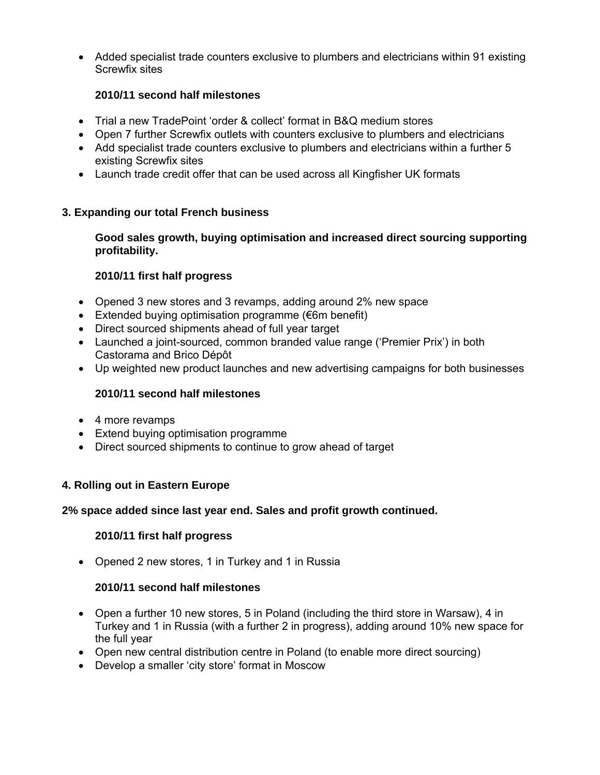• Added specialist trade counters exclusive to plumbers and electricians within 91 existing Screwfix sites

# **2010/11 second half milestones**

- Trial a new TradePoint 'order & collect' format in B&Q medium stores
- Open 7 further Screwfix outlets with counters exclusive to plumbers and electricians
- Add specialist trade counters exclusive to plumbers and electricians within a further 5 existing Screwfix sites
- Launch trade credit offer that can be used across all Kingfisher UK formats

# **3. Expanding our total French business**

**Good sales growth, buying optimisation and increased direct sourcing supporting profitability.** 

# **2010/11 first half progress**

- Opened 3 new stores and 3 revamps, adding around 2% new space
- Extended buying optimisation programme (€6m benefit)
- Direct sourced shipments ahead of full year target
- Launched a joint-sourced, common branded value range ('Premier Prix') in both Castorama and Brico Dépôt
- Up weighted new product launches and new advertising campaigns for both businesses

## **2010/11 second half milestones**

- 4 more revamps
- Extend buying optimisation programme
- Direct sourced shipments to continue to grow ahead of target

# **4. Rolling out in Eastern Europe**

## **2% space added since last year end. Sales and profit growth continued.**

## **2010/11 first half progress**

• Opened 2 new stores, 1 in Turkey and 1 in Russia

## **2010/11 second half milestones**

- Open a further 10 new stores, 5 in Poland (including the third store in Warsaw), 4 in Turkey and 1 in Russia (with a further 2 in progress), adding around 10% new space for the full year
- Open new central distribution centre in Poland (to enable more direct sourcing)
- Develop a smaller 'city store' format in Moscow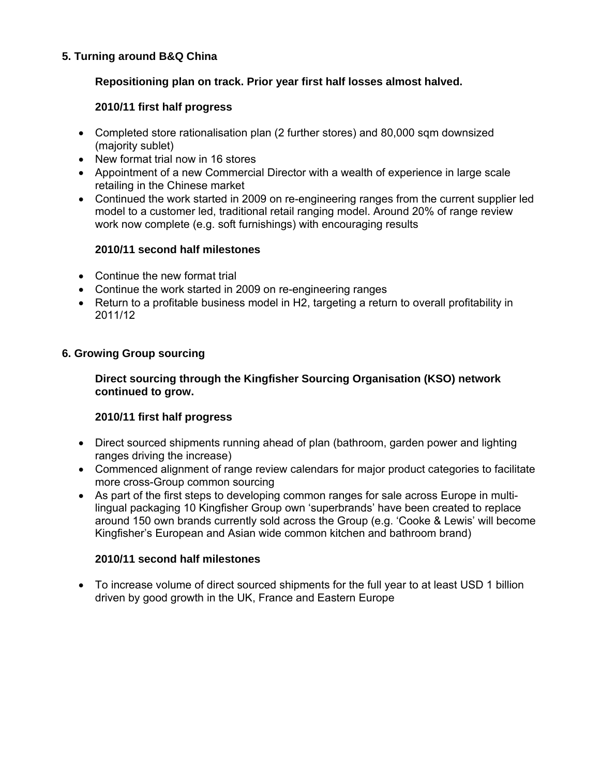# **5. Turning around B&Q China**

# **Repositioning plan on track. Prior year first half losses almost halved.**

# **2010/11 first half progress**

- Completed store rationalisation plan (2 further stores) and 80,000 sqm downsized (majority sublet)
- New format trial now in 16 stores
- Appointment of a new Commercial Director with a wealth of experience in large scale retailing in the Chinese market
- Continued the work started in 2009 on re-engineering ranges from the current supplier led model to a customer led, traditional retail ranging model. Around 20% of range review work now complete (e.g. soft furnishings) with encouraging results

# **2010/11 second half milestones**

- Continue the new format trial
- Continue the work started in 2009 on re-engineering ranges
- Return to a profitable business model in H2, targeting a return to overall profitability in 2011/12

# **6. Growing Group sourcing**

## **Direct sourcing through the Kingfisher Sourcing Organisation (KSO) network continued to grow.**

# **2010/11 first half progress**

- Direct sourced shipments running ahead of plan (bathroom, garden power and lighting ranges driving the increase)
- Commenced alignment of range review calendars for major product categories to facilitate more cross-Group common sourcing
- As part of the first steps to developing common ranges for sale across Europe in multilingual packaging 10 Kingfisher Group own 'superbrands' have been created to replace around 150 own brands currently sold across the Group (e.g. 'Cooke & Lewis' will become Kingfisher's European and Asian wide common kitchen and bathroom brand)

## **2010/11 second half milestones**

• To increase volume of direct sourced shipments for the full year to at least USD 1 billion driven by good growth in the UK, France and Eastern Europe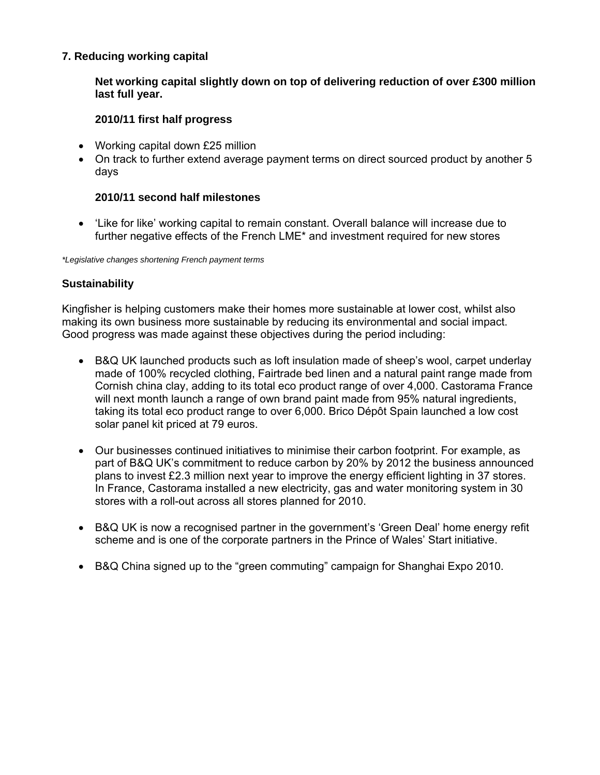# **7. Reducing working capital**

**Net working capital slightly down on top of delivering reduction of over £300 million last full year.** 

## **2010/11 first half progress**

- Working capital down £25 million
- On track to further extend average payment terms on direct sourced product by another 5 days

## **2010/11 second half milestones**

• 'Like for like' working capital to remain constant. Overall balance will increase due to further negative effects of the French LME\* and investment required for new stores

#### *\*Legislative changes shortening French payment terms*

## **Sustainability**

Kingfisher is helping customers make their homes more sustainable at lower cost, whilst also making its own business more sustainable by reducing its environmental and social impact. Good progress was made against these objectives during the period including:

- B&Q UK launched products such as loft insulation made of sheep's wool, carpet underlay made of 100% recycled clothing, Fairtrade bed linen and a natural paint range made from Cornish china clay, adding to its total eco product range of over 4,000. Castorama France will next month launch a range of own brand paint made from 95% natural ingredients, taking its total eco product range to over 6,000. Brico Dépôt Spain launched a low cost solar panel kit priced at 79 euros.
- Our businesses continued initiatives to minimise their carbon footprint. For example, as part of B&Q UK's commitment to reduce carbon by 20% by 2012 the business announced plans to invest £2.3 million next year to improve the energy efficient lighting in 37 stores. In France, Castorama installed a new electricity, gas and water monitoring system in 30 stores with a roll-out across all stores planned for 2010.
- B&Q UK is now a recognised partner in the government's 'Green Deal' home energy refit scheme and is one of the corporate partners in the Prince of Wales' Start initiative.
- B&Q China signed up to the "green commuting" campaign for Shanghai Expo 2010.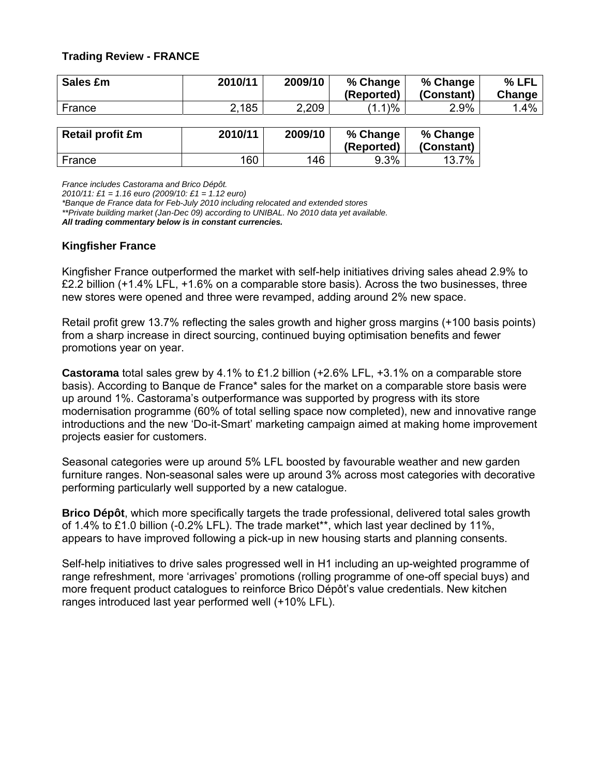# **Trading Review - FRANCE**

| Sales £m | 2010/11 | 2009/10 | % Change<br>(Reported) | % Change<br>(Constant) | % LFL<br>Change |
|----------|---------|---------|------------------------|------------------------|-----------------|
| France   | 2,185   | 2,209   | 1)%<br>71              | 2.9%                   | $.4\%$          |

| <b>Retail profit £m</b> | 2010/11 | 2009/10 | % Change<br>(Reported) | % Change<br>(Constant) |
|-------------------------|---------|---------|------------------------|------------------------|
| France                  | 160     | 146     | 9.3%                   | 13.7%                  |

*France includes Castorama and Brico Dépôt.* 

*2010/11: £1 = 1.16 euro (2009/10: £1 = 1.12 euro)*

*\*Banque de France data for Feb-July 2010 including relocated and extended stores* 

*\*\*Private building market (Jan-Dec 09) according to UNIBAL. No 2010 data yet available.* 

*All trading commentary below is in constant currencies.* 

## **Kingfisher France**

Kingfisher France outperformed the market with self-help initiatives driving sales ahead 2.9% to £2.2 billion (+1.4% LFL, +1.6% on a comparable store basis). Across the two businesses, three new stores were opened and three were revamped, adding around 2% new space.

Retail profit grew 13.7% reflecting the sales growth and higher gross margins (+100 basis points) from a sharp increase in direct sourcing, continued buying optimisation benefits and fewer promotions year on year.

**Castorama** total sales grew by 4.1% to £1.2 billion (+2.6% LFL, +3.1% on a comparable store basis). According to Banque de France\* sales for the market on a comparable store basis were up around 1%. Castorama's outperformance was supported by progress with its store modernisation programme (60% of total selling space now completed), new and innovative range introductions and the new 'Do-it-Smart' marketing campaign aimed at making home improvement projects easier for customers.

Seasonal categories were up around 5% LFL boosted by favourable weather and new garden furniture ranges. Non-seasonal sales were up around 3% across most categories with decorative performing particularly well supported by a new catalogue.

**Brico Dépôt**, which more specifically targets the trade professional, delivered total sales growth of 1.4% to £1.0 billion (-0.2% LFL). The trade market\*\*, which last year declined by 11%, appears to have improved following a pick-up in new housing starts and planning consents.

Self-help initiatives to drive sales progressed well in H1 including an up-weighted programme of range refreshment, more 'arrivages' promotions (rolling programme of one-off special buys) and more frequent product catalogues to reinforce Brico Dépôt's value credentials. New kitchen ranges introduced last year performed well (+10% LFL).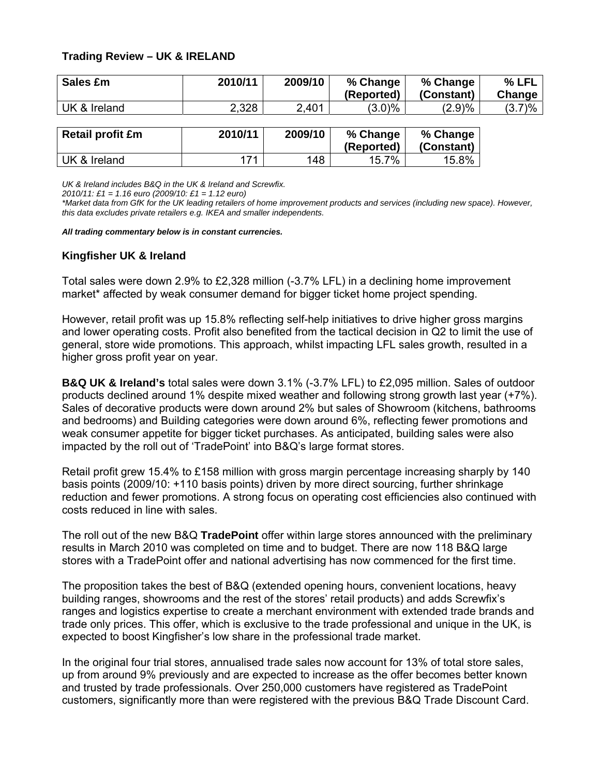# **Trading Review – UK & IRELAND**

| <b>Sales £m</b> | 2010/11 | 2009/10 | % Change<br>(Reported) | % Change<br>(Constant) | % LFL<br>Change |
|-----------------|---------|---------|------------------------|------------------------|-----------------|
| UK & Ireland    | 2,328   | 2,401   | $(3.0)\%$              | (2.9)%                 | $(3.7)\%$       |
|                 |         |         |                        |                        |                 |

| <b>Retail profit £m</b> | 2010/11 | 2009/10 | % Change   | % Change   |
|-------------------------|---------|---------|------------|------------|
|                         |         |         | (Reported) | (Constant) |
| UK & Ireland            | 171     | 148     | 15.7%      | 15.8%      |

*UK & Ireland includes B&Q in the UK & Ireland and Screwfix.* 

*2010/11: £1 = 1.16 euro (2009/10: £1 = 1.12 euro)*

*\*Market data from GfK for the UK leading retailers of home improvement products and services (including new space). However, this data excludes private retailers e.g. IKEA and smaller independents.* 

#### *All trading commentary below is in constant currencies.*

### **Kingfisher UK & Ireland**

Total sales were down 2.9% to £2,328 million (-3.7% LFL) in a declining home improvement market\* affected by weak consumer demand for bigger ticket home project spending.

However, retail profit was up 15.8% reflecting self-help initiatives to drive higher gross margins and lower operating costs. Profit also benefited from the tactical decision in Q2 to limit the use of general, store wide promotions. This approach, whilst impacting LFL sales growth, resulted in a higher gross profit year on year.

**B&Q UK & Ireland's** total sales were down 3.1% (-3.7% LFL) to £2,095 million. Sales of outdoor products declined around 1% despite mixed weather and following strong growth last year (+7%). Sales of decorative products were down around 2% but sales of Showroom (kitchens, bathrooms and bedrooms) and Building categories were down around 6%, reflecting fewer promotions and weak consumer appetite for bigger ticket purchases. As anticipated, building sales were also impacted by the roll out of 'TradePoint' into B&Q's large format stores.

Retail profit grew 15.4% to £158 million with gross margin percentage increasing sharply by 140 basis points (2009/10: +110 basis points) driven by more direct sourcing, further shrinkage reduction and fewer promotions. A strong focus on operating cost efficiencies also continued with costs reduced in line with sales.

The roll out of the new B&Q **TradePoint** offer within large stores announced with the preliminary results in March 2010 was completed on time and to budget. There are now 118 B&Q large stores with a TradePoint offer and national advertising has now commenced for the first time.

The proposition takes the best of B&Q (extended opening hours, convenient locations, heavy building ranges, showrooms and the rest of the stores' retail products) and adds Screwfix's ranges and logistics expertise to create a merchant environment with extended trade brands and trade only prices. This offer, which is exclusive to the trade professional and unique in the UK, is expected to boost Kingfisher's low share in the professional trade market.

In the original four trial stores, annualised trade sales now account for 13% of total store sales, up from around 9% previously and are expected to increase as the offer becomes better known and trusted by trade professionals. Over 250,000 customers have registered as TradePoint customers, significantly more than were registered with the previous B&Q Trade Discount Card.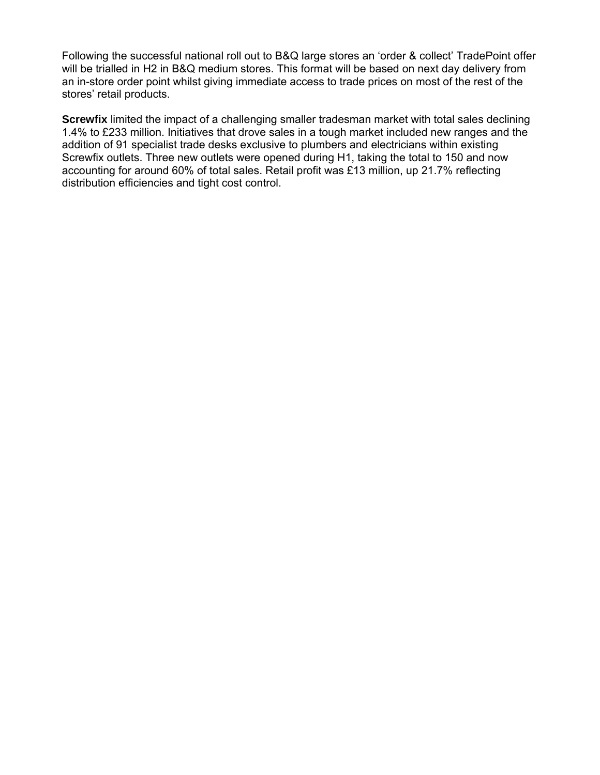Following the successful national roll out to B&Q large stores an 'order & collect' TradePoint offer will be trialled in H2 in B&Q medium stores. This format will be based on next day delivery from an in-store order point whilst giving immediate access to trade prices on most of the rest of the stores' retail products.

**Screwfix** limited the impact of a challenging smaller tradesman market with total sales declining 1.4% to £233 million. Initiatives that drove sales in a tough market included new ranges and the addition of 91 specialist trade desks exclusive to plumbers and electricians within existing Screwfix outlets. Three new outlets were opened during H1, taking the total to 150 and now accounting for around 60% of total sales. Retail profit was £13 million, up 21.7% reflecting distribution efficiencies and tight cost control.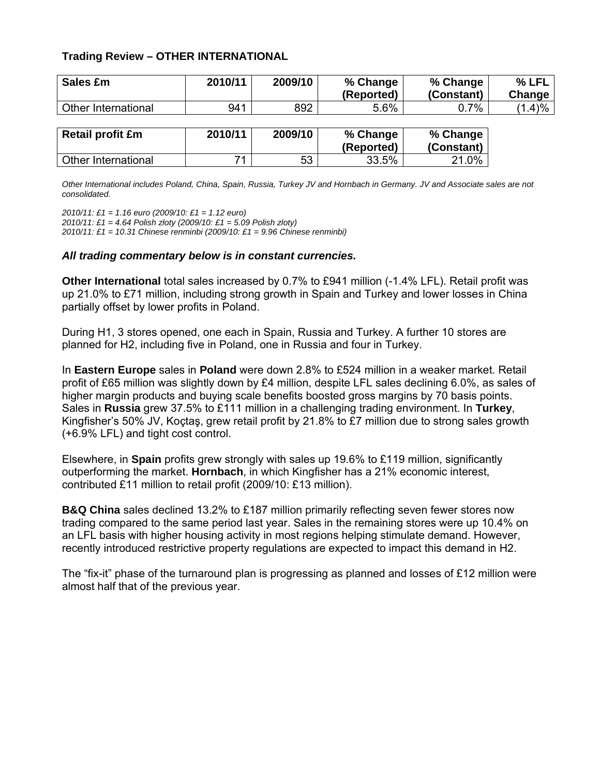# **Trading Review – OTHER INTERNATIONAL**

| Sales £m            | 2010/11 | 2009/10 | % Change<br>(Reported) | % Change<br>(Constant) | % LFL<br>Change |
|---------------------|---------|---------|------------------------|------------------------|-----------------|
| Other International | 941     | 892     | 5.6%                   | 7%                     | $(0.4)$ %       |

| <b>Retail profit £m</b> | 2010/11 | 2009/10 | % Change<br>(Reported) | % Change<br>(Constant) |
|-------------------------|---------|---------|------------------------|------------------------|
| Other International     | 74      | 53      | 33.5%                  | 21.0%                  |

*Other International includes Poland, China, Spain, Russia, Turkey JV and Hornbach in Germany. JV and Associate sales are not consolidated.* 

*2010/11: £1 = 1.16 euro (2009/10: £1 = 1.12 euro) 2010/11: £1 = 4.64 Polish zloty (2009/10: £1 = 5.09 Polish zloty) 2010/11: £1 = 10.31 Chinese renminbi (2009/10: £1 = 9.96 Chinese renminbi)* 

### *All trading commentary below is in constant currencies.*

**Other International** total sales increased by 0.7% to £941 million (-1.4% LFL). Retail profit was up 21.0% to £71 million, including strong growth in Spain and Turkey and lower losses in China partially offset by lower profits in Poland.

During H1, 3 stores opened, one each in Spain, Russia and Turkey. A further 10 stores are planned for H2, including five in Poland, one in Russia and four in Turkey.

In **Eastern Europe** sales in **Poland** were down 2.8% to £524 million in a weaker market. Retail profit of £65 million was slightly down by £4 million, despite LFL sales declining 6.0%, as sales of higher margin products and buying scale benefits boosted gross margins by 70 basis points. Sales in **Russia** grew 37.5% to £111 million in a challenging trading environment. In **Turkey**, Kingfisher's 50% JV, Koçtaş, grew retail profit by 21.8% to £7 million due to strong sales growth (+6.9% LFL) and tight cost control.

Elsewhere, in **Spain** profits grew strongly with sales up 19.6% to £119 million, significantly outperforming the market. **Hornbach**, in which Kingfisher has a 21% economic interest, contributed £11 million to retail profit (2009/10: £13 million).

**B&Q China** sales declined 13.2% to £187 million primarily reflecting seven fewer stores now trading compared to the same period last year. Sales in the remaining stores were up 10.4% on an LFL basis with higher housing activity in most regions helping stimulate demand. However, recently introduced restrictive property regulations are expected to impact this demand in H2.

The "fix-it" phase of the turnaround plan is progressing as planned and losses of £12 million were almost half that of the previous year.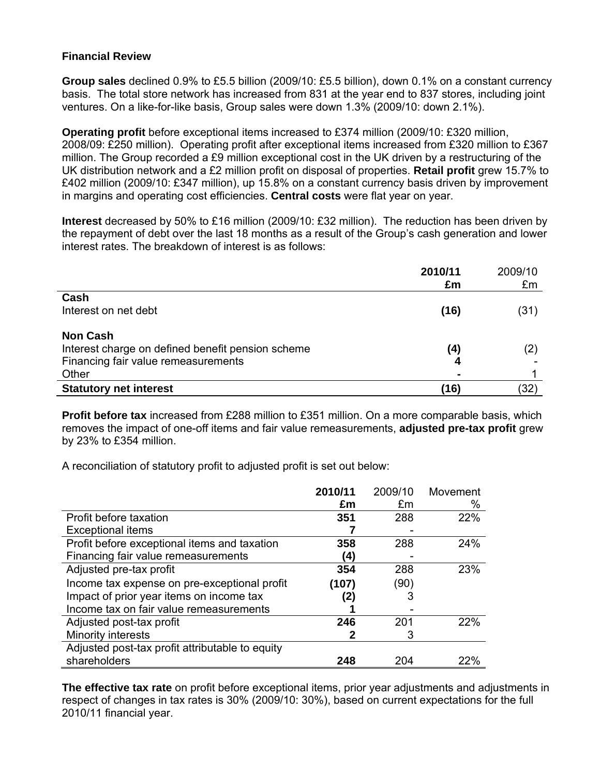## **Financial Review**

**Group sales** declined 0.9% to £5.5 billion (2009/10: £5.5 billion), down 0.1% on a constant currency basis. The total store network has increased from 831 at the year end to 837 stores, including joint ventures. On a like-for-like basis, Group sales were down 1.3% (2009/10: down 2.1%).

**Operating profit** before exceptional items increased to £374 million (2009/10: £320 million, 2008/09: £250 million). Operating profit after exceptional items increased from £320 million to £367 million. The Group recorded a £9 million exceptional cost in the UK driven by a restructuring of the UK distribution network and a £2 million profit on disposal of properties. **Retail profit** grew 15.7% to £402 million (2009/10: £347 million), up 15.8% on a constant currency basis driven by improvement in margins and operating cost efficiencies. **Central costs** were flat year on year.

**Interest** decreased by 50% to £16 million (2009/10: £32 million). The reduction has been driven by the repayment of debt over the last 18 months as a result of the Group's cash generation and lower interest rates. The breakdown of interest is as follows:

|                                                   | 2010/11<br>£m | 2009/10<br>£m |
|---------------------------------------------------|---------------|---------------|
| Cash                                              |               |               |
| Interest on net debt                              | (16)          | (31)          |
| <b>Non Cash</b>                                   |               |               |
| Interest charge on defined benefit pension scheme | (4)           | (2)           |
| Financing fair value remeasurements               | 4             |               |
| Other                                             |               |               |
| <b>Statutory net interest</b>                     | (16)          | 32)           |

**Profit before tax** increased from £288 million to £351 million. On a more comparable basis, which removes the impact of one-off items and fair value remeasurements, **adjusted pre-tax profit** grew by 23% to £354 million.

A reconciliation of statutory profit to adjusted profit is set out below:

|                                                 | 2010/11    | 2009/10 | Movement   |
|-------------------------------------------------|------------|---------|------------|
|                                                 | £m         | £m      | %          |
| Profit before taxation                          | 351        | 288     | 22%        |
| <b>Exceptional items</b>                        |            |         |            |
| Profit before exceptional items and taxation    | 358        | 288     | 24%        |
| Financing fair value remeasurements             | $\bf{(4)}$ |         |            |
| Adjusted pre-tax profit                         | 354        | 288     | 23%        |
| Income tax expense on pre-exceptional profit    | (107)      | (90)    |            |
| Impact of prior year items on income tax        | (2)        |         |            |
| Income tax on fair value remeasurements         |            |         |            |
| Adjusted post-tax profit                        | 246        | 201     | <b>22%</b> |
| Minority interests                              |            |         |            |
| Adjusted post-tax profit attributable to equity |            |         |            |
| shareholders                                    | 248        | 204     | 22%        |

**The effective tax rate** on profit before exceptional items, prior year adjustments and adjustments in respect of changes in tax rates is 30% (2009/10: 30%), based on current expectations for the full 2010/11 financial year.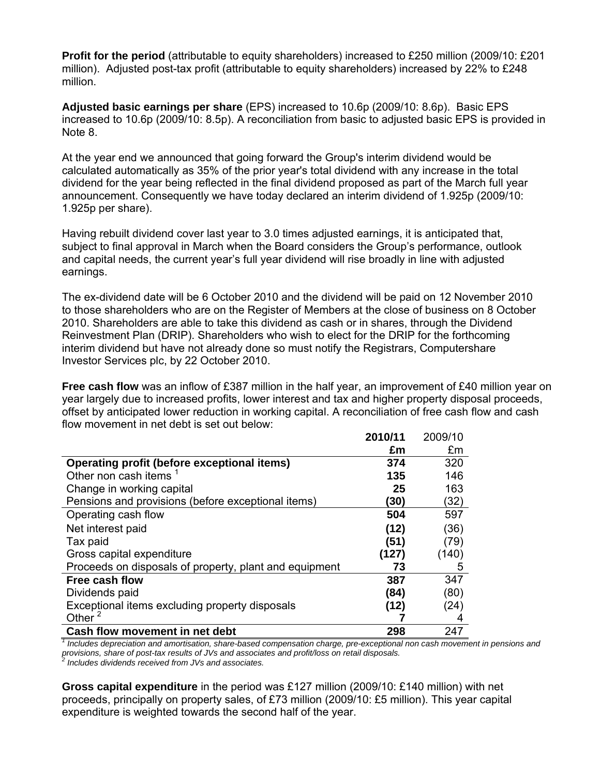**Profit for the period** (attributable to equity shareholders) increased to £250 million (2009/10: £201 million). Adjusted post-tax profit (attributable to equity shareholders) increased by 22% to £248 million.

**Adjusted basic earnings per share** (EPS) increased to 10.6p (2009/10: 8.6p). Basic EPS increased to 10.6p (2009/10: 8.5p). A reconciliation from basic to adjusted basic EPS is provided in Note 8.

At the year end we announced that going forward the Group's interim dividend would be calculated automatically as 35% of the prior year's total dividend with any increase in the total dividend for the year being reflected in the final dividend proposed as part of the March full year announcement. Consequently we have today declared an interim dividend of 1.925p (2009/10: 1.925p per share).

Having rebuilt dividend cover last year to 3.0 times adjusted earnings, it is anticipated that, subject to final approval in March when the Board considers the Group's performance, outlook and capital needs, the current year's full year dividend will rise broadly in line with adjusted earnings.

The ex-dividend date will be 6 October 2010 and the dividend will be paid on 12 November 2010 to those shareholders who are on the Register of Members at the close of business on 8 October 2010. Shareholders are able to take this dividend as cash or in shares, through the Dividend Reinvestment Plan (DRIP). Shareholders who wish to elect for the DRIP for the forthcoming interim dividend but have not already done so must notify the Registrars, Computershare Investor Services plc, by 22 October 2010.

**Free cash flow** was an inflow of £387 million in the half year, an improvement of £40 million year on year largely due to increased profits, lower interest and tax and higher property disposal proceeds, offset by anticipated lower reduction in working capital. A reconciliation of free cash flow and cash flow movement in net debt is set out below:

|                                                        | 2010/11 | 2009/10 |
|--------------------------------------------------------|---------|---------|
|                                                        | £m      | £m      |
| <b>Operating profit (before exceptional items)</b>     | 374     | 320     |
| Other non cash items                                   | 135     | 146     |
| Change in working capital                              | 25      | 163     |
| Pensions and provisions (before exceptional items)     | (30)    | (32)    |
| Operating cash flow                                    | 504     | 597     |
| Net interest paid                                      | (12)    | (36)    |
| Tax paid                                               | (51)    | (79)    |
| Gross capital expenditure                              | (127)   | (140)   |
| Proceeds on disposals of property, plant and equipment | 73      | 5       |
| Free cash flow                                         | 387     | 347     |
| Dividends paid                                         | (84)    | (80)    |
| Exceptional items excluding property disposals         | (12)    | (24)    |
| Other <sup>2</sup>                                     |         | 4       |
| Cash flow movement in net debt                         | 298     | 247     |

*1 Includes depreciation and amortisation, share-based compensation charge, pre-exceptional non cash movement in pensions and provisions, share of post-tax results of JVs and associates and profit/loss on retail disposals. 2*

 *Includes dividends received from JVs and associates.* 

**Gross capital expenditure** in the period was £127 million (2009/10: £140 million) with net proceeds, principally on property sales, of £73 million (2009/10: £5 million). This year capital expenditure is weighted towards the second half of the year.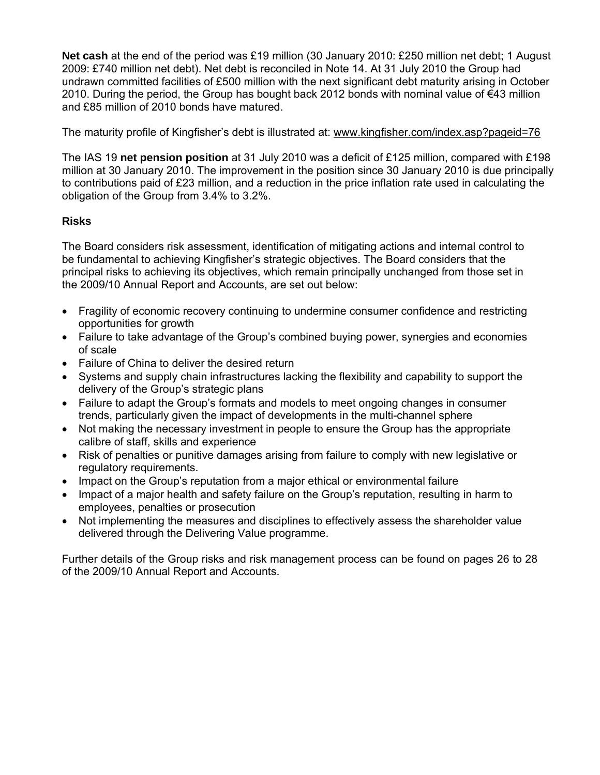**Net cash** at the end of the period was £19 million (30 January 2010: £250 million net debt; 1 August 2009: £740 million net debt). Net debt is reconciled in Note 14. At 31 July 2010 the Group had undrawn committed facilities of £500 million with the next significant debt maturity arising in October 2010. During the period, the Group has bought back 2012 bonds with nominal value of €43 million and £85 million of 2010 bonds have matured.

The maturity profile of Kingfisher's debt is illustrated at: www.kingfisher.com/index.asp?pageid=76

The IAS 19 **net pension position** at 31 July 2010 was a deficit of £125 million, compared with £198 million at 30 January 2010. The improvement in the position since 30 January 2010 is due principally to contributions paid of £23 million, and a reduction in the price inflation rate used in calculating the obligation of the Group from 3.4% to 3.2%.

# **Risks**

The Board considers risk assessment, identification of mitigating actions and internal control to be fundamental to achieving Kingfisher's strategic objectives. The Board considers that the principal risks to achieving its objectives, which remain principally unchanged from those set in the 2009/10 Annual Report and Accounts, are set out below:

- Fragility of economic recovery continuing to undermine consumer confidence and restricting opportunities for growth
- Failure to take advantage of the Group's combined buying power, synergies and economies of scale
- Failure of China to deliver the desired return
- Systems and supply chain infrastructures lacking the flexibility and capability to support the delivery of the Group's strategic plans
- Failure to adapt the Group's formats and models to meet ongoing changes in consumer trends, particularly given the impact of developments in the multi-channel sphere
- Not making the necessary investment in people to ensure the Group has the appropriate calibre of staff, skills and experience
- Risk of penalties or punitive damages arising from failure to comply with new legislative or regulatory requirements.
- Impact on the Group's reputation from a major ethical or environmental failure
- Impact of a major health and safety failure on the Group's reputation, resulting in harm to employees, penalties or prosecution
- Not implementing the measures and disciplines to effectively assess the shareholder value delivered through the Delivering Value programme.

Further details of the Group risks and risk management process can be found on pages 26 to 28 of the 2009/10 Annual Report and Accounts.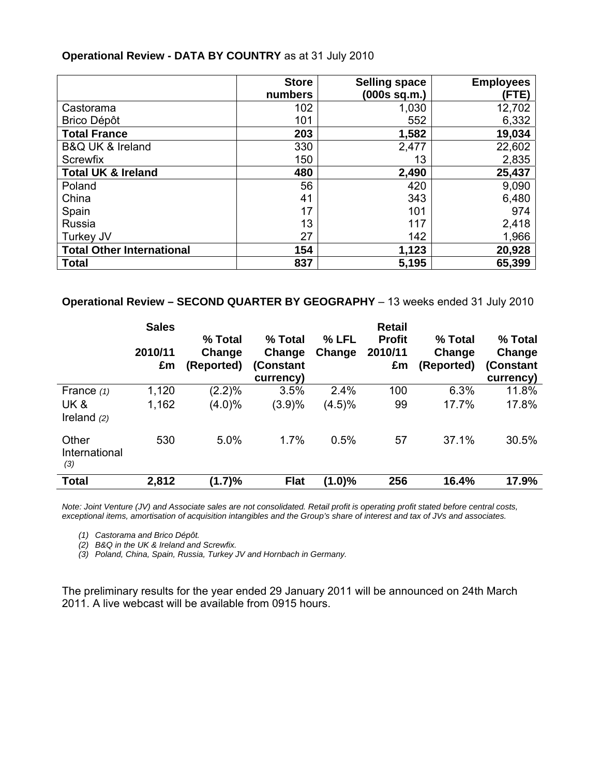|                                  | <b>Store</b><br>numbers | <b>Selling space</b><br>(000s sq.m.) | <b>Employees</b><br>(FTE) |
|----------------------------------|-------------------------|--------------------------------------|---------------------------|
| Castorama                        | 102                     | 1,030                                | 12,702                    |
| Brico Dépôt                      | 101                     | 552                                  | 6,332                     |
| <b>Total France</b>              | 203                     | 1,582                                | 19,034                    |
| <b>B&amp;Q UK &amp; Ireland</b>  | 330                     | 2,477                                | 22,602                    |
| <b>Screwfix</b>                  | 150                     | 13                                   | 2,835                     |
| <b>Total UK &amp; Ireland</b>    | 480                     | 2,490                                | 25,437                    |
| Poland                           | 56                      | 420                                  | 9,090                     |
| China                            | 41                      | 343                                  | 6,480                     |
| Spain                            | 17                      | 101                                  | 974                       |
| Russia                           | 13                      | 117                                  | 2,418                     |
| Turkey JV                        | 27                      | 142                                  | 1,966                     |
| <b>Total Other International</b> | 154                     | 1,123                                | 20,928                    |
| <b>Total</b>                     | 837                     | 5,195                                | 65,399                    |

# **Operational Review - DATA BY COUNTRY** as at 31 July 2010

**Operational Review – SECOND QUARTER BY GEOGRAPHY** – 13 weeks ended 31 July 2010

|                                  | <b>Sales</b><br>2010/11<br>£m | % Total<br>Change<br>(Reported) | % Total<br>Change<br>(Constant<br>currency) | % LFL<br>Change | <b>Retail</b><br><b>Profit</b><br>2010/11<br>£m | % Total<br>Change<br>(Reported) | % Total<br>Change<br>(Constant<br>currency) |
|----------------------------------|-------------------------------|---------------------------------|---------------------------------------------|-----------------|-------------------------------------------------|---------------------------------|---------------------------------------------|
| France $(1)$                     | 1,120                         | (2.2)%                          | 3.5%                                        | 2.4%            | 100                                             | 6.3%                            | 11.8%                                       |
| <b>UK &amp;</b><br>Ireland $(2)$ | 1,162                         | $(4.0)\%$                       | (3.9)%                                      | (4.5)%          | 99                                              | 17.7%                           | 17.8%                                       |
| Other<br>International<br>(3)    | 530                           | 5.0%                            | 1.7%                                        | 0.5%            | 57                                              | 37.1%                           | 30.5%                                       |
| <b>Total</b>                     | 2,812                         | (1.7)%                          | <b>Flat</b>                                 | $(1.0)\%$       | 256                                             | 16.4%                           | 17.9%                                       |

*Note: Joint Venture (JV) and Associate sales are not consolidated. Retail profit is operating profit stated before central costs, exceptional items, amortisation of acquisition intangibles and the Group's share of interest and tax of JVs and associates.* 

*(1) Castorama and Brico Dépôt.* 

*(2) B&Q in the UK & Ireland and Screwfix.* 

*(3) Poland, China, Spain, Russia, Turkey JV and Hornbach in Germany.* 

The preliminary results for the year ended 29 January 2011 will be announced on 24th March 2011. A live webcast will be available from 0915 hours.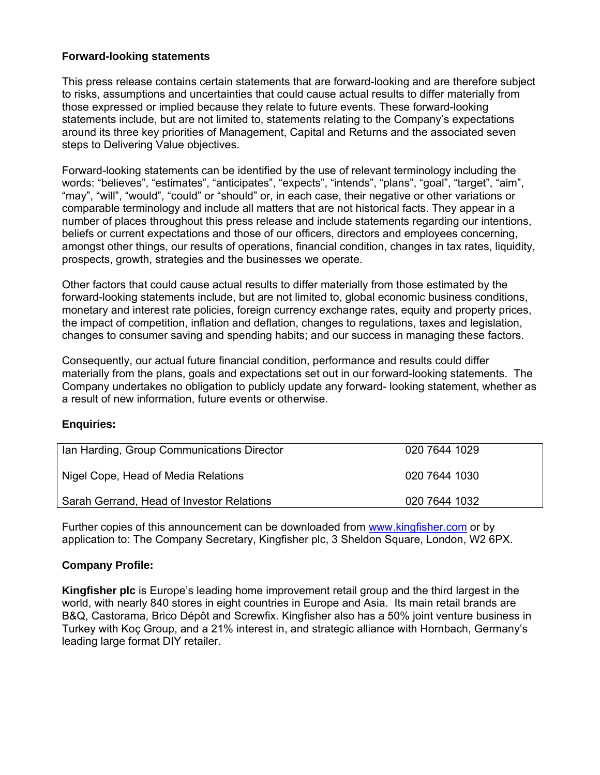## **Forward-looking statements**

This press release contains certain statements that are forward-looking and are therefore subject to risks, assumptions and uncertainties that could cause actual results to differ materially from those expressed or implied because they relate to future events. These forward-looking statements include, but are not limited to, statements relating to the Company's expectations around its three key priorities of Management, Capital and Returns and the associated seven steps to Delivering Value objectives.

Forward-looking statements can be identified by the use of relevant terminology including the words: "believes", "estimates", "anticipates", "expects", "intends", "plans", "goal", "target", "aim", "may", "will", "would", "could" or "should" or, in each case, their negative or other variations or comparable terminology and include all matters that are not historical facts. They appear in a number of places throughout this press release and include statements regarding our intentions, beliefs or current expectations and those of our officers, directors and employees concerning, amongst other things, our results of operations, financial condition, changes in tax rates, liquidity, prospects, growth, strategies and the businesses we operate.

Other factors that could cause actual results to differ materially from those estimated by the forward-looking statements include, but are not limited to, global economic business conditions, monetary and interest rate policies, foreign currency exchange rates, equity and property prices, the impact of competition, inflation and deflation, changes to regulations, taxes and legislation, changes to consumer saving and spending habits; and our success in managing these factors.

Consequently, our actual future financial condition, performance and results could differ materially from the plans, goals and expectations set out in our forward-looking statements. The Company undertakes no obligation to publicly update any forward- looking statement, whether as a result of new information, future events or otherwise.

### **Enquiries:**

| Ian Harding, Group Communications Director | 020 7644 1029 |
|--------------------------------------------|---------------|
| Nigel Cope, Head of Media Relations        | 020 7644 1030 |
| Sarah Gerrand, Head of Investor Relations  | 020 7644 1032 |

Further copies of this announcement can be downloaded from www.kingfisher.com or by application to: The Company Secretary, Kingfisher plc, 3 Sheldon Square, London, W2 6PX.

## **Company Profile:**

**Kingfisher plc** is Europe's leading home improvement retail group and the third largest in the world, with nearly 840 stores in eight countries in Europe and Asia. Its main retail brands are B&Q, Castorama, Brico Dépôt and Screwfix. Kingfisher also has a 50% joint venture business in Turkey with Koç Group, and a 21% interest in, and strategic alliance with Hornbach, Germany's leading large format DIY retailer.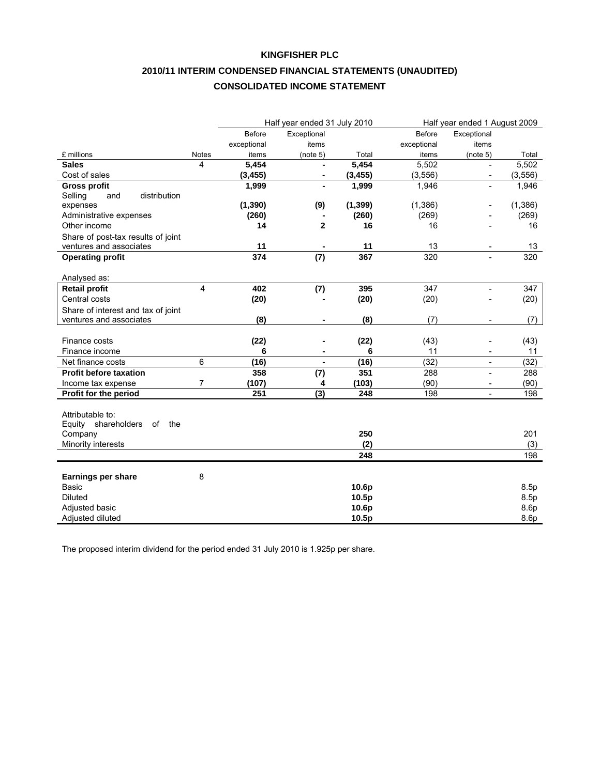# **2010/11 INTERIM CONDENSED FINANCIAL STATEMENTS (UNAUDITED) CONSOLIDATED INCOME STATEMENT**

|                                    |                         |             | Half year ended 31 July 2010 |          |               | Half year ended 1 August 2009 |          |
|------------------------------------|-------------------------|-------------|------------------------------|----------|---------------|-------------------------------|----------|
|                                    |                         | Before      | Exceptional                  |          | <b>Before</b> | Exceptional                   |          |
|                                    |                         | exceptional | items                        |          | exceptional   | items                         |          |
| £ millions                         | <b>Notes</b>            | items       | (note 5)                     | Total    | items         | (note 5)                      | Total    |
| <b>Sales</b>                       | $\overline{\mathbf{4}}$ | 5,454       | $\blacksquare$               | 5,454    | 5,502         | $\overline{a}$                | 5,502    |
| Cost of sales                      |                         | (3, 455)    | $\blacksquare$               | (3, 455) | (3,556)       | $\overline{a}$                | (3, 556) |
| <b>Gross profit</b>                |                         | 1,999       |                              | 1,999    | 1,946         |                               | 1,946    |
| Selling<br>distribution<br>and     |                         |             |                              |          |               |                               |          |
| expenses                           |                         | (1, 390)    | (9)                          | (1, 399) | (1, 386)      |                               | (1, 386) |
| Administrative expenses            |                         | (260)       |                              | (260)    | (269)         |                               | (269)    |
| Other income                       |                         | 14          | $\mathbf{2}$                 | 16       | 16            |                               | 16       |
| Share of post-tax results of joint |                         |             |                              |          |               |                               |          |
| ventures and associates            |                         | 11          |                              | 11       | 13            |                               | 13       |
| <b>Operating profit</b>            |                         | 374         | (7)                          | 367      | 320           |                               | 320      |
|                                    |                         |             |                              |          |               |                               |          |
| Analysed as:                       |                         |             |                              |          |               |                               |          |
| <b>Retail profit</b>               | 4                       | 402         | (7)                          | 395      | 347           | $\overline{a}$                | 347      |
| Central costs                      |                         | (20)        |                              | (20)     | (20)          |                               | (20)     |
| Share of interest and tax of joint |                         |             |                              |          |               |                               |          |
| ventures and associates            |                         | (8)         | ۰                            | (8)      | (7)           |                               | (7)      |
|                                    |                         |             |                              |          |               |                               |          |
| Finance costs                      |                         | (22)        |                              | (22)     | (43)          |                               | (43)     |
| Finance income                     |                         | 6           | ۰                            | 6        | 11            |                               | 11       |
| Net finance costs                  | 6                       | (16)        | $\blacksquare$               | (16)     | (32)          | $\qquad \qquad \blacksquare$  | (32)     |
| <b>Profit before taxation</b>      |                         | 358         | (7)                          | 351      | 288           | $\overline{\phantom{a}}$      | 288      |
| Income tax expense                 | 7                       | (107)       | 4                            | (103)    | (90)          |                               | (90)     |
| Profit for the period              |                         | 251         | $\overline{3}$               | 248      | 198           |                               | 198      |
|                                    |                         |             |                              |          |               |                               |          |
| Attributable to:                   |                         |             |                              |          |               |                               |          |
| Equity shareholders<br>of<br>the   |                         |             |                              |          |               |                               |          |
| Company                            |                         |             |                              | 250      |               |                               | 201      |
| Minority interests                 |                         |             |                              | (2)      |               |                               | (3)      |
|                                    |                         |             |                              | 248      |               |                               | 198      |
|                                    |                         |             |                              |          |               |                               |          |
| <b>Earnings per share</b>          | 8                       |             |                              |          |               |                               |          |
| <b>Basic</b>                       |                         |             |                              | 10.6p    |               |                               | 8.5p     |
| <b>Diluted</b>                     |                         |             |                              | 10.5p    |               |                               | 8.5p     |
| Adjusted basic                     |                         |             |                              | 10.6p    |               |                               | 8.6p     |
| Adjusted diluted                   |                         |             |                              | 10.5p    |               |                               | 8.6p     |

The proposed interim dividend for the period ended 31 July 2010 is 1.925p per share.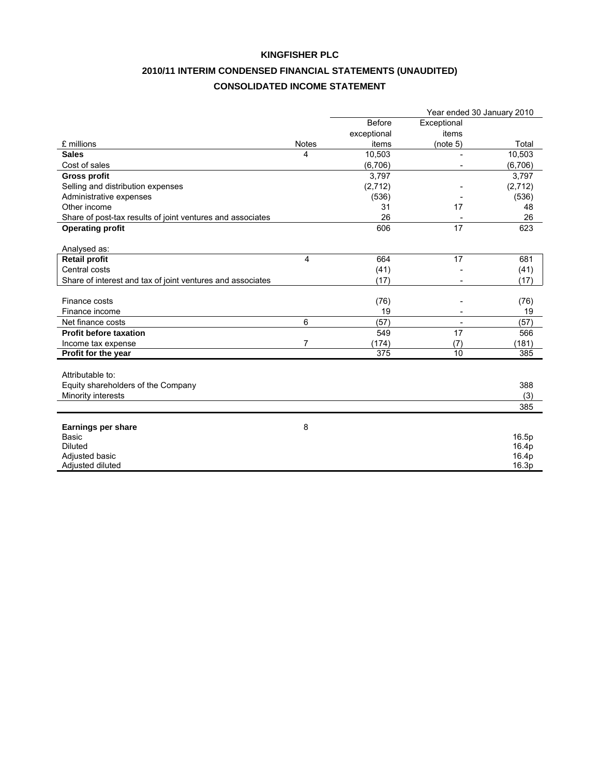# **2010/11 INTERIM CONDENSED FINANCIAL STATEMENTS (UNAUDITED) CONSOLIDATED INCOME STATEMENT**

|                                                            |              |               | Year ended 30 January 2010 |         |
|------------------------------------------------------------|--------------|---------------|----------------------------|---------|
|                                                            |              | <b>Before</b> | Exceptional                |         |
|                                                            |              | exceptional   | items                      |         |
| £ millions                                                 | <b>Notes</b> | items         | (note 5)                   | Total   |
| <b>Sales</b>                                               | 4            | 10,503        |                            | 10,503  |
| Cost of sales                                              |              | (6,706)       | $\overline{\phantom{a}}$   | (6,706) |
| <b>Gross profit</b>                                        |              | 3,797         |                            | 3,797   |
| Selling and distribution expenses                          |              | (2,712)       |                            | (2,712) |
| Administrative expenses                                    |              | (536)         |                            | (536)   |
| Other income                                               |              | 31            | 17                         | 48      |
| Share of post-tax results of joint ventures and associates |              | 26            |                            | 26      |
| <b>Operating profit</b>                                    |              | 606           | 17                         | 623     |
|                                                            |              |               |                            |         |
| Analysed as:                                               |              |               |                            |         |
| <b>Retail profit</b>                                       | 4            | 664           | 17                         | 681     |
| Central costs                                              |              | (41)          |                            | (41)    |
| Share of interest and tax of joint ventures and associates |              | (17)          |                            | (17)    |
|                                                            |              |               |                            |         |
| Finance costs                                              |              | (76)          |                            | (76)    |
| Finance income                                             |              | 19            | $\overline{\phantom{a}}$   | 19      |
| Net finance costs                                          | 6            | (57)          | $\blacksquare$             | (57)    |
| <b>Profit before taxation</b>                              |              | 549           | 17                         | 566     |
| Income tax expense                                         | 7            | (174)         | (7)                        | (181)   |
| Profit for the year                                        |              | 375           | 10                         | 385     |
|                                                            |              |               |                            |         |
| Attributable to:                                           |              |               |                            |         |
| Equity shareholders of the Company                         |              |               |                            | 388     |
| Minority interests                                         |              |               |                            | (3)     |
|                                                            |              |               |                            | 385     |
|                                                            |              |               |                            |         |
| <b>Earnings per share</b>                                  | 8            |               |                            |         |
| Basic                                                      |              |               |                            | 16.5p   |
| <b>Diluted</b>                                             |              |               |                            | 16.4p   |
| Adjusted basic                                             |              |               |                            | 16.4p   |
| Adjusted diluted                                           |              |               |                            | 16.3p   |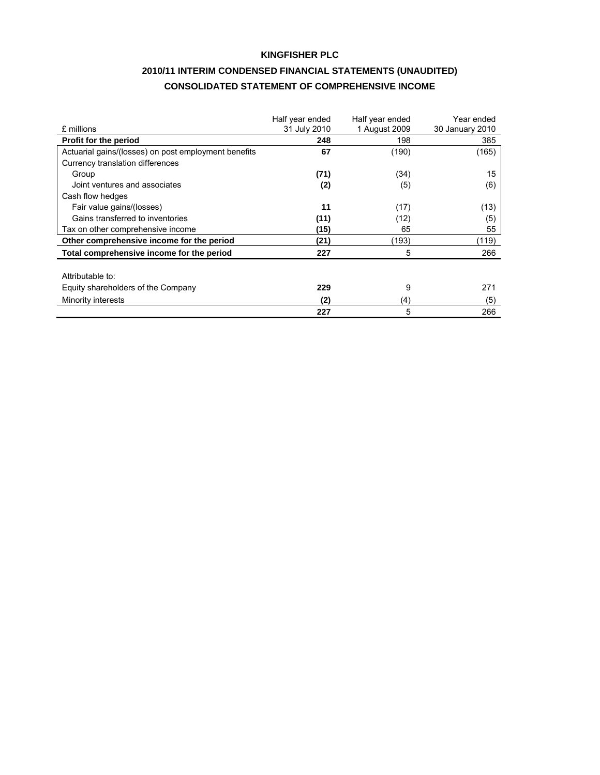# **2010/11 INTERIM CONDENSED FINANCIAL STATEMENTS (UNAUDITED) CONSOLIDATED STATEMENT OF COMPREHENSIVE INCOME**

|                                                      | Half year ended | Half year ended | Year ended      |
|------------------------------------------------------|-----------------|-----------------|-----------------|
| £ millions                                           | 31 July 2010    | 1 August 2009   | 30 January 2010 |
| <b>Profit for the period</b>                         | 248             | 198             | 385             |
| Actuarial gains/(losses) on post employment benefits | 67              | (190)           | (165)           |
| Currency translation differences                     |                 |                 |                 |
| Group                                                | (71)            | (34)            | 15              |
| Joint ventures and associates                        | (2)             | (5)             | (6)             |
| Cash flow hedges                                     |                 |                 |                 |
| Fair value gains/(losses)                            | 11              | (17)            | (13)            |
| Gains transferred to inventories                     | (11)            | (12)            | (5)             |
| Tax on other comprehensive income                    | (15)            | 65              | 55              |
| Other comprehensive income for the period            | (21)            | (193)           | (119)           |
| Total comprehensive income for the period            | 227             | 5               | 266             |
|                                                      |                 |                 |                 |
| Attributable to:                                     |                 |                 |                 |
| Equity shareholders of the Company                   | 229             | 9               | 271             |
| Minority interests                                   | (2)             | (4)             | (5)             |
|                                                      | 227             | 5               | 266             |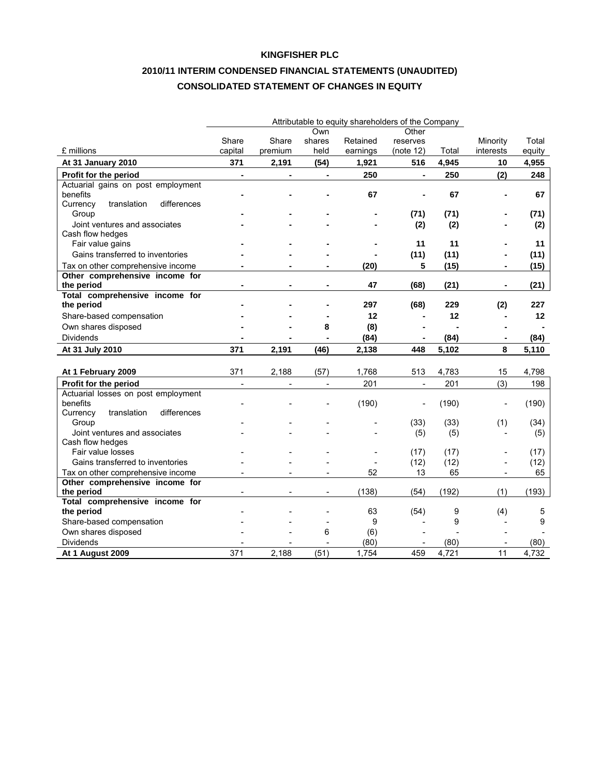# **2010/11 INTERIM CONDENSED FINANCIAL STATEMENTS (UNAUDITED) CONSOLIDATED STATEMENT OF CHANGES IN EQUITY**

|                                        |                |         |                | Attributable to equity shareholders of the Company |                |               |                |               |
|----------------------------------------|----------------|---------|----------------|----------------------------------------------------|----------------|---------------|----------------|---------------|
|                                        |                |         | Own            |                                                    | Other          |               |                |               |
|                                        | Share          | Share   | shares         | Retained                                           | reserves       |               | Minority       | Total         |
| £ millions                             | capital        | premium | held           | earnings                                           | (note 12)      | Total         | interests      | equity        |
| At 31 January 2010                     | 371            | 2,191   | (54)           | 1,921                                              | 516            | 4,945         | 10             | 4,955         |
| Profit for the period                  | $\blacksquare$ |         | ä,             | 250                                                | ä,             | 250           | (2)            | 248           |
| Actuarial gains on post employment     |                |         |                |                                                    |                |               |                |               |
| benefits                               |                |         |                | 67                                                 |                | 67            |                | 67            |
| translation<br>differences<br>Currency |                |         |                |                                                    |                |               |                |               |
| Group                                  |                |         |                |                                                    | (71)           | (71)          |                | (71)          |
| Joint ventures and associates          |                |         |                |                                                    | (2)            | (2)           |                | (2)           |
| Cash flow hedges                       |                |         |                |                                                    |                |               |                |               |
| Fair value gains                       |                |         |                |                                                    | 11             | 11            |                | 11            |
| Gains transferred to inventories       |                |         |                |                                                    | (11)           | (11)          |                | (11)          |
| Tax on other comprehensive income      |                |         |                | (20)                                               | 5              | (15)          |                | (15)          |
| Other comprehensive income for         |                |         |                |                                                    |                |               |                |               |
| the period                             | $\blacksquare$ |         |                | 47                                                 | (68)           | (21)          |                | (21)          |
| Total comprehensive income for         |                |         |                |                                                    |                |               |                |               |
| the period                             |                |         |                | 297                                                | (68)           | 229           | (2)            | 227           |
| Share-based compensation               |                |         |                | 12                                                 |                | 12            |                | 12            |
| Own shares disposed                    |                |         | 8              | (8)                                                |                |               |                |               |
| <b>Dividends</b>                       |                |         |                | (84)                                               |                | (84)          | $\blacksquare$ | (84)          |
| At 31 July 2010                        | 371            | 2,191   | (46)           | 2,138                                              | 448            | 5,102         | 8              | 5,110         |
|                                        |                |         |                |                                                    |                |               |                |               |
| At 1 February 2009                     | 371            | 2,188   | (57)           | 1,768                                              | 513            | 4,783         | 15             | 4,798         |
| Profit for the period                  | $\overline{a}$ | ÷,      | $\overline{a}$ | 201                                                | $\overline{a}$ | 201           | (3)            | 198           |
| Actuarial losses on post employment    |                |         |                |                                                    |                |               |                |               |
| benefits                               |                |         |                | (190)                                              |                | (190)         |                | (190)         |
| translation<br>differences<br>Currency |                |         |                |                                                    |                |               |                |               |
| Group                                  |                |         |                |                                                    | (33)           | (33)          | (1)            | (34)          |
| Joint ventures and associates          |                |         |                |                                                    | (5)            | (5)           |                | (5)           |
| Cash flow hedges                       |                |         |                |                                                    |                |               |                |               |
| Fair value losses                      |                |         |                |                                                    | (17)           | (17)          |                | (17)          |
| Gains transferred to inventories       |                |         |                |                                                    |                |               |                | (12)          |
|                                        |                |         |                |                                                    | (12)           | (12)          |                |               |
| Tax on other comprehensive income      |                |         |                | 52                                                 | 13             | 65            | ٠              | 65            |
| Other comprehensive income for         |                |         |                |                                                    |                |               |                |               |
| the period                             |                |         |                | (138)                                              | (54)           | (192)         | (1)            | (193)         |
| Total comprehensive income for         |                |         |                |                                                    |                |               |                |               |
| the period                             |                |         |                | 63                                                 | (54)           | 9             | (4)            | 5             |
| Share-based compensation               |                |         |                | 9                                                  |                | 9             |                | 9             |
| Own shares disposed                    |                |         | 6              | (6)                                                |                |               |                |               |
| <b>Dividends</b><br>At 1 August 2009   | 371            | 2,188   | (51)           | (80)<br>1,754                                      | 459            | (80)<br>4,721 | 11             | (80)<br>4,732 |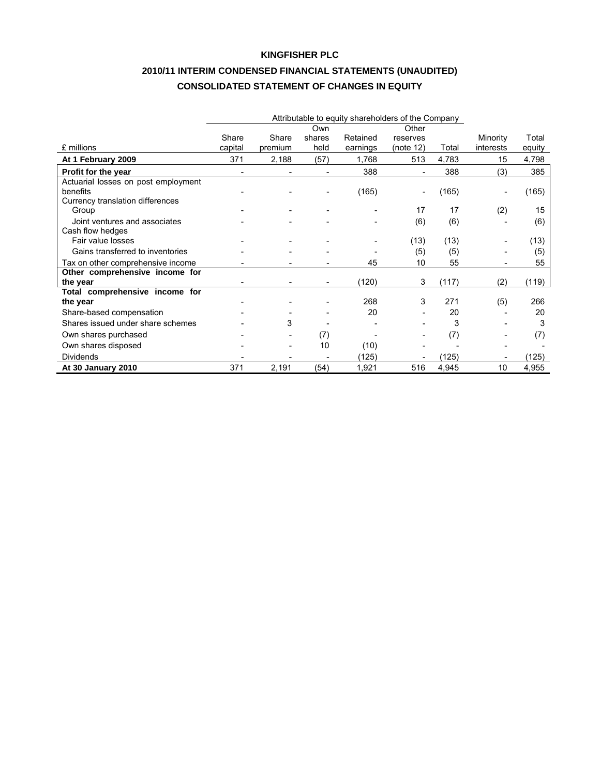# **2010/11 INTERIM CONDENSED FINANCIAL STATEMENTS (UNAUDITED) CONSOLIDATED STATEMENT OF CHANGES IN EQUITY**

|                                     |         |         | Attributable to equity shareholders of the Company |          |           |       |           |        |
|-------------------------------------|---------|---------|----------------------------------------------------|----------|-----------|-------|-----------|--------|
|                                     |         |         | Own                                                |          | Other     |       |           |        |
|                                     | Share   | Share   | shares                                             | Retained | reserves  |       | Minority  | Total  |
| £ millions                          | capital | premium | held                                               | earnings | (note 12) | Total | interests | equity |
| At 1 February 2009                  | 371     | 2,188   | (57)                                               | 1,768    | 513       | 4,783 | 15        | 4,798  |
| Profit for the year                 |         |         |                                                    | 388      |           | 388   | (3)       | 385    |
| Actuarial losses on post employment |         |         |                                                    |          |           |       |           |        |
| benefits                            |         |         |                                                    | (165)    |           | (165) |           | (165)  |
| Currency translation differences    |         |         |                                                    |          |           |       |           |        |
| Group                               |         |         |                                                    |          | 17        | 17    | (2)       | 15     |
| Joint ventures and associates       |         |         |                                                    |          | (6)       | (6)   |           | (6)    |
| Cash flow hedges                    |         |         |                                                    |          |           |       |           |        |
| Fair value losses                   |         |         |                                                    |          | (13)      | (13)  |           | (13)   |
| Gains transferred to inventories    |         |         |                                                    |          | (5)       | (5)   |           | (5)    |
| Tax on other comprehensive income   |         |         |                                                    | 45       | 10        | 55    |           | 55     |
| Other comprehensive income for      |         |         |                                                    |          |           |       |           |        |
| the year                            |         |         | ۰                                                  | (120)    | 3         | (117) | (2)       | (119)  |
| Total comprehensive income for      |         |         |                                                    |          |           |       |           |        |
| the year                            |         |         |                                                    | 268      | 3         | 271   | (5)       | 266    |
| Share-based compensation            |         |         |                                                    | 20       |           | 20    |           | 20     |
| Shares issued under share schemes   |         | 3       |                                                    |          |           | 3     |           | 3      |
| Own shares purchased                |         |         | (7)                                                |          |           | (7)   |           | (7)    |
| Own shares disposed                 |         |         | 10                                                 | (10)     |           |       |           |        |
| <b>Dividends</b>                    |         |         |                                                    | (125)    |           | (125) |           | (125)  |
| At 30 January 2010                  | 371     | 2,191   | (54)                                               | 1,921    | 516       | 4,945 | 10        | 4,955  |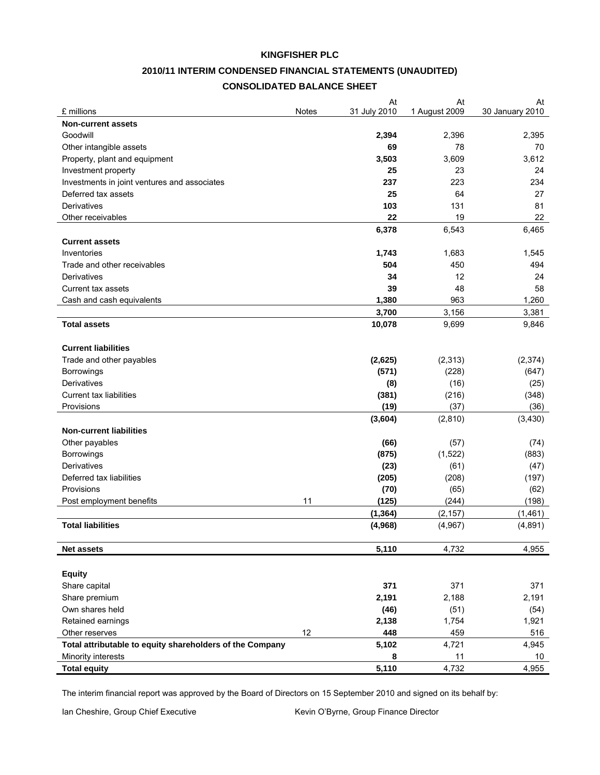# **2010/11 INTERIM CONDENSED FINANCIAL STATEMENTS (UNAUDITED) CONSOLIDATED BALANCE SHEET**

| £ millions                                               | Notes | At<br>31 July 2010 | At<br>1 August 2009 | At<br>30 January 2010 |
|----------------------------------------------------------|-------|--------------------|---------------------|-----------------------|
| <b>Non-current assets</b>                                |       |                    |                     |                       |
| Goodwill                                                 |       | 2,394              | 2,396               | 2,395                 |
| Other intangible assets                                  |       | 69                 | 78                  | 70                    |
| Property, plant and equipment                            |       | 3,503              | 3,609               | 3,612                 |
| Investment property                                      |       | 25                 | 23                  | 24                    |
| Investments in joint ventures and associates             |       | 237                | 223                 | 234                   |
| Deferred tax assets                                      |       | 25                 | 64                  | 27                    |
| Derivatives                                              |       | 103                | 131                 | 81                    |
| Other receivables                                        |       | 22                 | 19                  | 22                    |
|                                                          |       | 6,378              | 6,543               | 6,465                 |
| <b>Current assets</b>                                    |       |                    |                     |                       |
| Inventories                                              |       | 1,743              | 1,683               | 1,545                 |
| Trade and other receivables                              |       | 504                | 450                 | 494                   |
| Derivatives                                              |       | 34                 | 12                  | 24                    |
| Current tax assets                                       |       | 39                 | 48                  | 58                    |
| Cash and cash equivalents                                |       | 1,380              | 963                 | 1,260                 |
|                                                          |       | 3,700              | 3,156               | 3,381                 |
|                                                          |       |                    |                     |                       |
| <b>Total assets</b>                                      |       | 10,078             | 9,699               | 9,846                 |
| <b>Current liabilities</b>                               |       |                    |                     |                       |
| Trade and other payables                                 |       | (2,625)            | (2,313)             | (2,374)               |
|                                                          |       | (571)              |                     |                       |
| <b>Borrowings</b><br>Derivatives                         |       | (8)                | (228)<br>(16)       | (647)<br>(25)         |
| <b>Current tax liabilities</b>                           |       | (381)              | (216)               | (348)                 |
| Provisions                                               |       | (19)               | (37)                | (36)                  |
|                                                          |       | (3,604)            | (2,810)             | (3, 430)              |
| <b>Non-current liabilities</b>                           |       |                    |                     |                       |
| Other payables                                           |       | (66)               | (57)                | (74)                  |
| <b>Borrowings</b>                                        |       | (875)              | (1,522)             | (883)                 |
| Derivatives                                              |       | (23)               | (61)                | (47)                  |
| Deferred tax liabilities                                 |       | (205)              | (208)               | (197)                 |
| Provisions                                               |       | (70)               | (65)                | (62)                  |
| Post employment benefits                                 | 11    | (125)              | (244)               | (198)                 |
|                                                          |       | (1, 364)           | (2, 157)            |                       |
| <b>Total liabilities</b>                                 |       |                    |                     | (1, 461)              |
|                                                          |       | (4,968)            | (4,967)             | (4, 891)              |
| <b>Net assets</b>                                        |       | 5,110              | 4,732               | 4,955                 |
|                                                          |       |                    |                     |                       |
| <b>Equity</b>                                            |       |                    |                     |                       |
| Share capital                                            |       | 371                | 371                 | 371                   |
| Share premium                                            |       | 2,191              | 2,188               | 2,191                 |
| Own shares held                                          |       | (46)               | (51)                | (54)                  |
| Retained earnings                                        |       | 2,138              | 1,754               | 1,921                 |
| Other reserves                                           | 12    | 448                | 459                 | 516                   |
| Total attributable to equity shareholders of the Company |       | 5,102              | 4,721               | 4,945                 |
| Minority interests                                       |       | 8                  | 11                  | 10                    |
| <b>Total equity</b>                                      |       | 5,110              | 4,732               | 4,955                 |

The interim financial report was approved by the Board of Directors on 15 September 2010 and signed on its behalf by: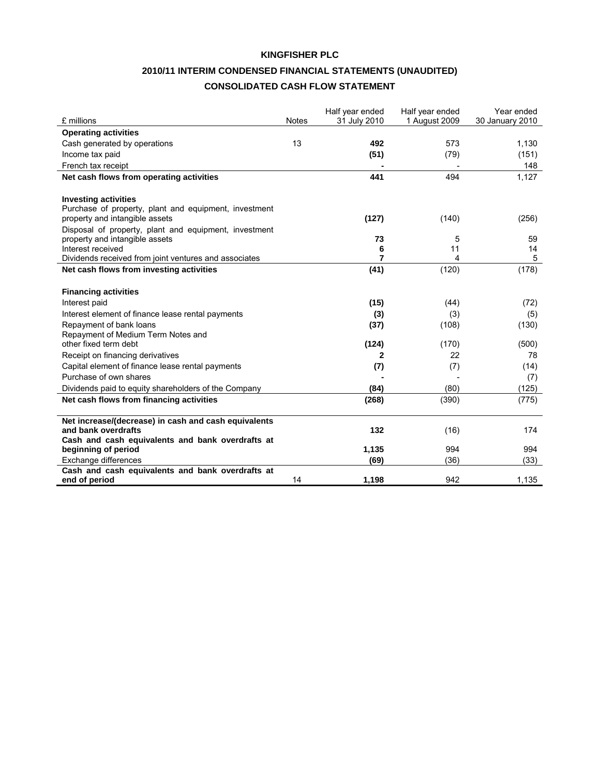# **2010/11 INTERIM CONDENSED FINANCIAL STATEMENTS (UNAUDITED) CONSOLIDATED CASH FLOW STATEMENT**

| £ millions                                                        | <b>Notes</b> | Half year ended | Half year ended<br>1 August 2009 | Year ended<br>30 January 2010 |
|-------------------------------------------------------------------|--------------|-----------------|----------------------------------|-------------------------------|
| <b>Operating activities</b>                                       |              | 31 July 2010    |                                  |                               |
| Cash generated by operations                                      | 13           | 492             | 573                              | 1,130                         |
| Income tax paid                                                   |              | (51)            | (79)                             | (151)                         |
| French tax receipt                                                |              |                 |                                  | 148                           |
|                                                                   |              |                 |                                  |                               |
| Net cash flows from operating activities                          |              | 441             | 494                              | 1,127                         |
| <b>Investing activities</b>                                       |              |                 |                                  |                               |
| Purchase of property, plant and equipment, investment             |              |                 |                                  |                               |
| property and intangible assets                                    |              | (127)           | (140)                            | (256)                         |
| Disposal of property, plant and equipment, investment             |              |                 |                                  |                               |
| property and intangible assets                                    |              | 73              | 5                                | 59                            |
| Interest received                                                 |              | 6               | 11                               | 14                            |
| Dividends received from joint ventures and associates             |              | 7               | 4                                | 5                             |
| Net cash flows from investing activities                          |              | (41)            | (120)                            | (178)                         |
|                                                                   |              |                 |                                  |                               |
| <b>Financing activities</b>                                       |              |                 |                                  |                               |
| Interest paid                                                     |              | (15)            | (44)                             | (72)                          |
| Interest element of finance lease rental payments                 |              | (3)             | (3)                              | (5)                           |
| Repayment of bank loans                                           |              | (37)            | (108)                            | (130)                         |
| Repayment of Medium Term Notes and                                |              |                 |                                  |                               |
| other fixed term debt                                             |              | (124)           | (170)                            | (500)                         |
| Receipt on financing derivatives                                  |              | 2               | 22                               | 78                            |
| Capital element of finance lease rental payments                  |              | (7)             | (7)                              | (14)                          |
| Purchase of own shares                                            |              |                 |                                  | (7)                           |
| Dividends paid to equity shareholders of the Company              |              | (84)            | (80)                             | (125)                         |
| Net cash flows from financing activities                          |              | (268)           | (390)                            | (775)                         |
|                                                                   |              |                 |                                  |                               |
| Net increase/(decrease) in cash and cash equivalents              |              |                 |                                  |                               |
| and bank overdrafts                                               |              | 132             | (16)                             | 174                           |
| Cash and cash equivalents and bank overdrafts at                  |              |                 |                                  |                               |
| beginning of period                                               |              | 1,135           | 994                              | 994                           |
| Exchange differences                                              |              | (69)            | (36)                             | (33)                          |
| Cash and cash equivalents and bank overdrafts at<br>end of period | 14           | 1,198           | 942                              | 1,135                         |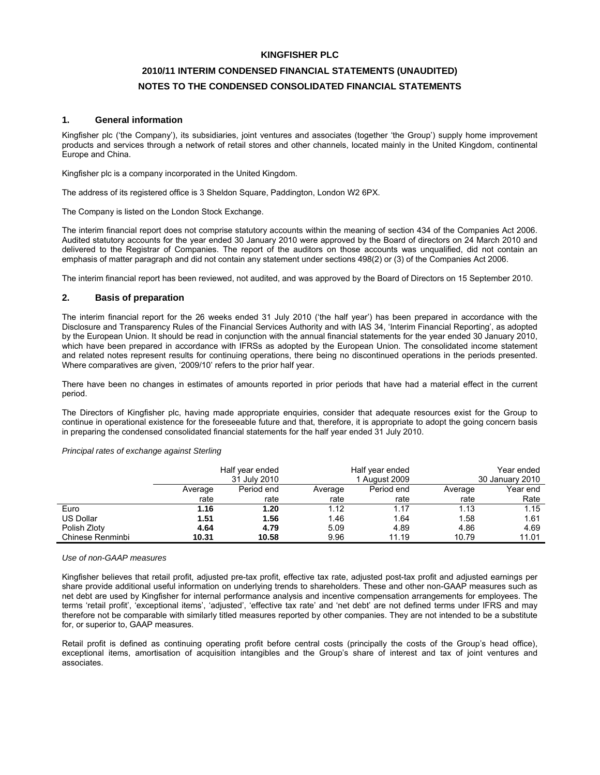# **2010/11 INTERIM CONDENSED FINANCIAL STATEMENTS (UNAUDITED) NOTES TO THE CONDENSED CONSOLIDATED FINANCIAL STATEMENTS**

#### **1. General information**

Kingfisher plc ('the Company'), its subsidiaries, joint ventures and associates (together 'the Group') supply home improvement products and services through a network of retail stores and other channels, located mainly in the United Kingdom, continental Europe and China.

Kingfisher plc is a company incorporated in the United Kingdom.

The address of its registered office is 3 Sheldon Square, Paddington, London W2 6PX.

The Company is listed on the London Stock Exchange.

The interim financial report does not comprise statutory accounts within the meaning of section 434 of the Companies Act 2006. Audited statutory accounts for the year ended 30 January 2010 were approved by the Board of directors on 24 March 2010 and delivered to the Registrar of Companies. The report of the auditors on those accounts was unqualified, did not contain an emphasis of matter paragraph and did not contain any statement under sections 498(2) or (3) of the Companies Act 2006.

The interim financial report has been reviewed, not audited, and was approved by the Board of Directors on 15 September 2010.

#### **2. Basis of preparation**

The interim financial report for the 26 weeks ended 31 July 2010 ('the half year') has been prepared in accordance with the Disclosure and Transparency Rules of the Financial Services Authority and with IAS 34, 'Interim Financial Reporting', as adopted by the European Union. It should be read in conjunction with the annual financial statements for the year ended 30 January 2010, which have been prepared in accordance with IFRSs as adopted by the European Union. The consolidated income statement and related notes represent results for continuing operations, there being no discontinued operations in the periods presented. Where comparatives are given, '2009/10' refers to the prior half year.

There have been no changes in estimates of amounts reported in prior periods that have had a material effect in the current period.

The Directors of Kingfisher plc, having made appropriate enquiries, consider that adequate resources exist for the Group to continue in operational existence for the foreseeable future and that, therefore, it is appropriate to adopt the going concern basis in preparing the condensed consolidated financial statements for the half year ended 31 July 2010.

#### *Principal rates of exchange against Sterling*

|                  | Half year ended<br>31 July 2010 |            |         | Half year ended<br>1 August 2009 | Year ended<br>30 January 2010 |          |  |
|------------------|---------------------------------|------------|---------|----------------------------------|-------------------------------|----------|--|
|                  | Average                         | Period end | Average | Period end                       | Average                       | Year end |  |
|                  | rate                            | rate       | rate    | rate                             | rate                          | Rate     |  |
| Euro             | 1.16                            | 1.20       | 1.12    | 1.17                             | 1.13                          | 1.15     |  |
| <b>US Dollar</b> | 1.51                            | 1.56       | 1.46    | 1.64                             | 1.58                          | 1.61     |  |
| Polish Zloty     | 4.64                            | 4.79       | 5.09    | 4.89                             | 4.86                          | 4.69     |  |
| Chinese Renminbi | 10.31                           | 10.58      | 9.96    | 11.19                            | 10.79                         | 11.01    |  |

#### *Use of non-GAAP measures*

Kingfisher believes that retail profit, adjusted pre-tax profit, effective tax rate, adjusted post-tax profit and adjusted earnings per share provide additional useful information on underlying trends to shareholders. These and other non-GAAP measures such as net debt are used by Kingfisher for internal performance analysis and incentive compensation arrangements for employees. The terms 'retail profit', 'exceptional items', 'adjusted', 'effective tax rate' and 'net debt' are not defined terms under IFRS and may therefore not be comparable with similarly titled measures reported by other companies. They are not intended to be a substitute for, or superior to, GAAP measures.

Retail profit is defined as continuing operating profit before central costs (principally the costs of the Group's head office), exceptional items, amortisation of acquisition intangibles and the Group's share of interest and tax of joint ventures and associates.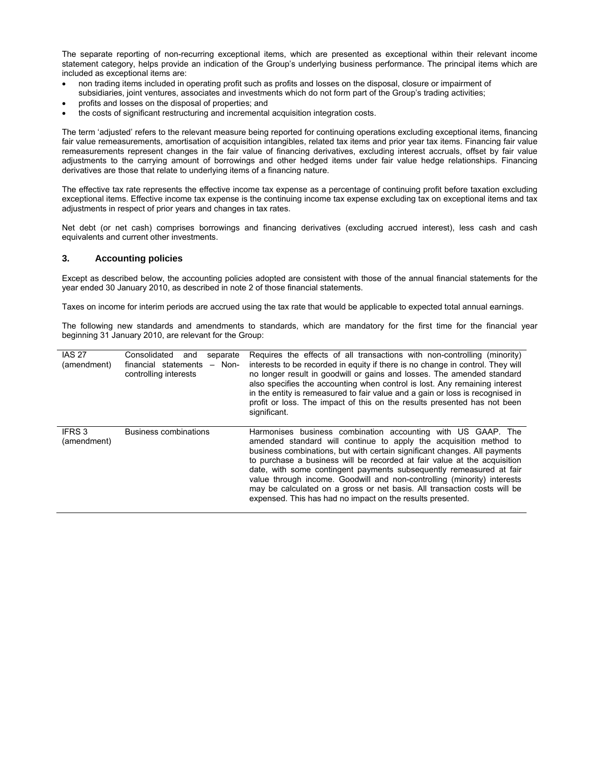The separate reporting of non-recurring exceptional items, which are presented as exceptional within their relevant income statement category, helps provide an indication of the Group's underlying business performance. The principal items which are included as exceptional items are:

- non trading items included in operating profit such as profits and losses on the disposal, closure or impairment of subsidiaries, joint ventures, associates and investments which do not form part of the Group's trading activities;
- profits and losses on the disposal of properties; and
- the costs of significant restructuring and incremental acquisition integration costs.

The term 'adjusted' refers to the relevant measure being reported for continuing operations excluding exceptional items, financing fair value remeasurements, amortisation of acquisition intangibles, related tax items and prior year tax items. Financing fair value remeasurements represent changes in the fair value of financing derivatives, excluding interest accruals, offset by fair value adjustments to the carrying amount of borrowings and other hedged items under fair value hedge relationships. Financing derivatives are those that relate to underlying items of a financing nature.

The effective tax rate represents the effective income tax expense as a percentage of continuing profit before taxation excluding exceptional items. Effective income tax expense is the continuing income tax expense excluding tax on exceptional items and tax adjustments in respect of prior years and changes in tax rates.

Net debt (or net cash) comprises borrowings and financing derivatives (excluding accrued interest), less cash and cash equivalents and current other investments.

#### **3. Accounting policies**

Except as described below, the accounting policies adopted are consistent with those of the annual financial statements for the year ended 30 January 2010, as described in note 2 of those financial statements.

Taxes on income for interim periods are accrued using the tax rate that would be applicable to expected total annual earnings.

The following new standards and amendments to standards, which are mandatory for the first time for the financial year beginning 31 January 2010, are relevant for the Group:

| <b>IAS 27</b><br>(amendment) | Consolidated<br>separate<br>and<br>financial statements<br>$-$ Non-<br>controlling interests | Requires the effects of all transactions with non-controlling (minority)<br>interests to be recorded in equity if there is no change in control. They will<br>no longer result in goodwill or gains and losses. The amended standard<br>also specifies the accounting when control is lost. Any remaining interest<br>in the entity is remeasured to fair value and a gain or loss is recognised in<br>profit or loss. The impact of this on the results presented has not been<br>significant.                                                                                        |
|------------------------------|----------------------------------------------------------------------------------------------|----------------------------------------------------------------------------------------------------------------------------------------------------------------------------------------------------------------------------------------------------------------------------------------------------------------------------------------------------------------------------------------------------------------------------------------------------------------------------------------------------------------------------------------------------------------------------------------|
| <b>IFRS3</b><br>(amendment)  | <b>Business combinations</b>                                                                 | Harmonises business combination accounting with US GAAP. The<br>amended standard will continue to apply the acquisition method to<br>business combinations, but with certain significant changes. All payments<br>to purchase a business will be recorded at fair value at the acquisition<br>date, with some contingent payments subsequently remeasured at fair<br>value through income. Goodwill and non-controlling (minority) interests<br>may be calculated on a gross or net basis. All transaction costs will be<br>expensed. This has had no impact on the results presented. |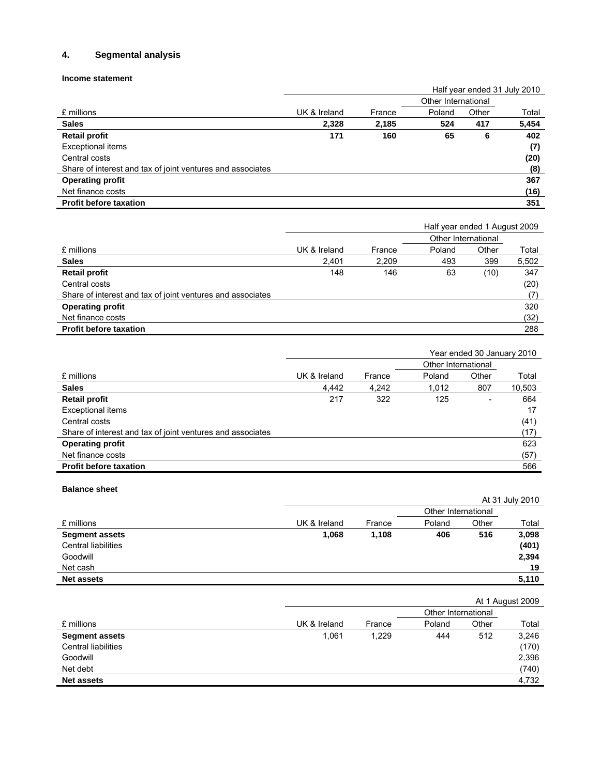## **4. Segmental analysis**

#### **Income statement**

|                                                            |              |        | Half year ended 31 July 2010 |       |       |  |
|------------------------------------------------------------|--------------|--------|------------------------------|-------|-------|--|
|                                                            |              |        | Other International          |       |       |  |
| £ millions                                                 | UK & Ireland | France | Poland                       | Other | Total |  |
| <b>Sales</b>                                               | 2,328        | 2,185  | 524                          | 417   | 5,454 |  |
| <b>Retail profit</b>                                       | 171          | 160    | 65                           | 6     | 402   |  |
| Exceptional items                                          |              |        |                              |       | (7)   |  |
| Central costs                                              |              |        |                              |       | (20)  |  |
| Share of interest and tax of joint ventures and associates |              |        |                              |       | (8)   |  |
| <b>Operating profit</b>                                    |              |        |                              |       | 367   |  |
| Net finance costs                                          |              |        |                              |       | (16)  |  |
| <b>Profit before taxation</b>                              |              |        |                              |       | 351   |  |

|                                                            |              | Half year ended 1 August 2009 |                     |       |       |
|------------------------------------------------------------|--------------|-------------------------------|---------------------|-------|-------|
|                                                            |              |                               | Other International |       |       |
| £ millions                                                 | UK & Ireland | France                        | Poland              | Other | Total |
| <b>Sales</b>                                               | 2.401        | 2,209                         | 493                 | 399   | 5,502 |
| <b>Retail profit</b>                                       | 148          | 146                           | 63                  | (10)  | 347   |
| Central costs                                              |              |                               |                     |       | (20)  |
| Share of interest and tax of joint ventures and associates |              |                               |                     |       | (7)   |
| <b>Operating profit</b>                                    |              |                               |                     |       | 320   |
| Net finance costs                                          |              |                               |                     |       | (32)  |
| <b>Profit before taxation</b>                              |              |                               |                     |       | 288   |

|                                                            |              |        | Year ended 30 January 2010 |       |        |
|------------------------------------------------------------|--------------|--------|----------------------------|-------|--------|
|                                                            |              |        | Other International        |       |        |
| £ millions                                                 | UK & Ireland | France | Poland                     | Other | Total  |
| <b>Sales</b>                                               | 4.442        | 4.242  | 1.012                      | 807   | 10,503 |
| <b>Retail profit</b>                                       | 217          | 322    | 125                        |       | 664    |
| Exceptional items                                          |              |        |                            |       | 17     |
| Central costs                                              |              |        |                            |       | (41)   |
| Share of interest and tax of joint ventures and associates |              |        |                            |       | (17)   |
| <b>Operating profit</b>                                    |              |        |                            |       | 623    |
| Net finance costs                                          |              |        |                            |       | (57)   |
| <b>Profit before taxation</b>                              |              |        |                            |       | 566    |

#### **Balance sheet**

| _ _ _ _ _ _ _ _ _ _ _ _ |              |        |                     |       | At 31 July 2010 |
|-------------------------|--------------|--------|---------------------|-------|-----------------|
|                         |              |        | Other International |       |                 |
| £ millions              | UK & Ireland | France | Poland              | Other | Total           |
| <b>Segment assets</b>   | 1,068        | 1,108  | 406                 | 516   | 3,098           |
| Central liabilities     |              |        |                     |       | (401)           |
| Goodwill                |              |        |                     |       | 2,394           |
| Net cash                |              |        |                     |       | 19              |
| <b>Net assets</b>       |              |        |                     |       | 5,110           |

|                       |              |        |                     |       | At 1 August 2009 |
|-----------------------|--------------|--------|---------------------|-------|------------------|
|                       |              |        | Other International |       |                  |
| £ millions            | UK & Ireland | France | Poland              | Other | Total            |
| <b>Segment assets</b> | 1.061        | 1,229  | 444                 | 512   | 3,246            |
| Central liabilities   |              |        |                     |       | (170)            |
| Goodwill              |              |        |                     |       | 2,396            |
| Net debt              |              |        |                     |       | (740)            |
| <b>Net assets</b>     |              |        |                     |       | 4,732            |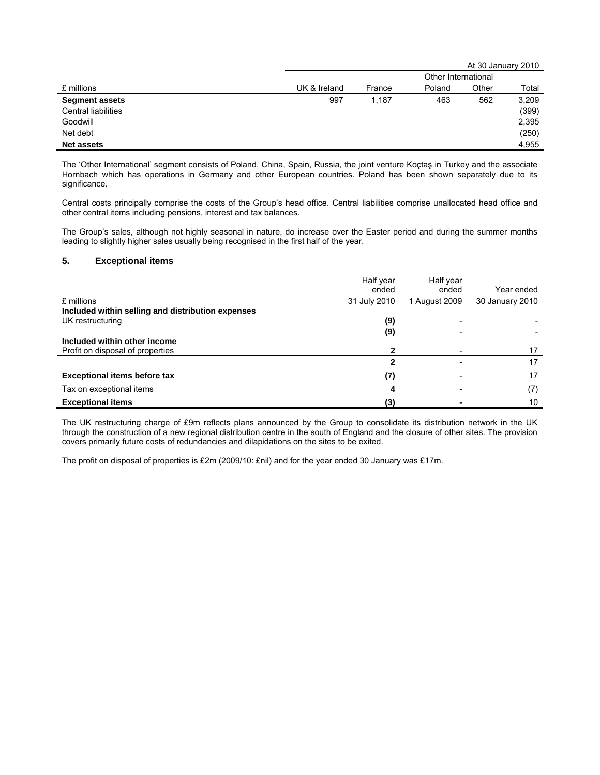|                       |              |        | Other International |       |       |
|-----------------------|--------------|--------|---------------------|-------|-------|
| £ millions            | UK & Ireland | France | Poland              | Other | Total |
| <b>Segment assets</b> | 997          | 1.187  | 463                 | 562   | 3,209 |
| Central liabilities   |              |        |                     |       | (399) |
| Goodwill              |              |        |                     |       | 2,395 |
| Net debt              |              |        |                     |       | (250) |
| <b>Net assets</b>     |              |        |                     |       | 4,955 |

At 30 January 2010

The 'Other International' segment consists of Poland, China, Spain, Russia, the joint venture Koçtaş in Turkey and the associate Hornbach which has operations in Germany and other European countries. Poland has been shown separately due to its significance.

Central costs principally comprise the costs of the Group's head office. Central liabilities comprise unallocated head office and other central items including pensions, interest and tax balances.

The Group's sales, although not highly seasonal in nature, do increase over the Easter period and during the summer months leading to slightly higher sales usually being recognised in the first half of the year.

#### **5. Exceptional items**

|                                                   | Half year<br>ended | Half year<br>ended | Year ended      |
|---------------------------------------------------|--------------------|--------------------|-----------------|
| £ millions                                        | 31 July 2010       | 1 August 2009      | 30 January 2010 |
| Included within selling and distribution expenses |                    |                    |                 |
| UK restructuring                                  | (9)                |                    |                 |
|                                                   | (9)                |                    |                 |
| Included within other income                      |                    |                    |                 |
| Profit on disposal of properties                  | 2                  |                    | 17              |
|                                                   |                    |                    | 17              |
| <b>Exceptional items before tax</b>               | (7)                |                    | 17              |
| Tax on exceptional items                          |                    |                    | (7)             |
| <b>Exceptional items</b>                          | (3)                |                    | 10              |

The UK restructuring charge of £9m reflects plans announced by the Group to consolidate its distribution network in the UK through the construction of a new regional distribution centre in the south of England and the closure of other sites. The provision covers primarily future costs of redundancies and dilapidations on the sites to be exited.

The profit on disposal of properties is £2m (2009/10: £nil) and for the year ended 30 January was £17m.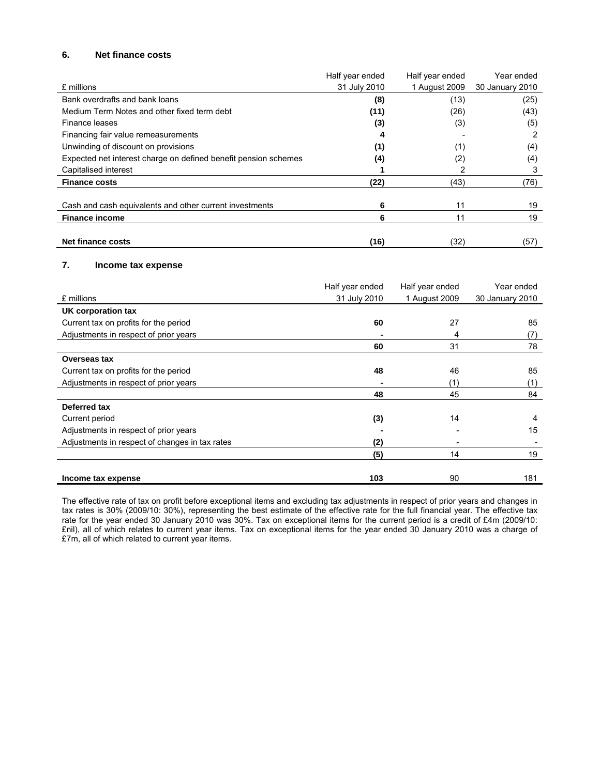#### **6. Net finance costs**

|                                                                 | Half year ended | Half year ended | Year ended      |
|-----------------------------------------------------------------|-----------------|-----------------|-----------------|
| £ millions                                                      | 31 July 2010    | 1 August 2009   | 30 January 2010 |
| Bank overdrafts and bank loans                                  | (8)             | (13)            | (25)            |
| Medium Term Notes and other fixed term debt                     | (11)            | (26)            | (43)            |
| Finance leases                                                  | (3)             | (3)             | (5)             |
| Financing fair value remeasurements                             | 4               |                 |                 |
| Unwinding of discount on provisions                             | (1)             | (1)             | (4)             |
| Expected net interest charge on defined benefit pension schemes | (4)             | (2)             | (4)             |
| Capitalised interest                                            |                 | 2               | 3               |
| <b>Finance costs</b>                                            | (22)            | (43)            | (76)            |
|                                                                 |                 |                 |                 |
| Cash and cash equivalents and other current investments         | 6               | 11              | 19              |
| <b>Finance income</b>                                           | 6               | 11              | 19              |
|                                                                 |                 |                 |                 |
| Net finance costs                                               | (16)            | (32)            | (57)            |

#### **7. Income tax expense**

|                                                | Half year ended | Half year ended | Year ended      |
|------------------------------------------------|-----------------|-----------------|-----------------|
| £ millions                                     | 31 July 2010    | 1 August 2009   | 30 January 2010 |
| UK corporation tax                             |                 |                 |                 |
| Current tax on profits for the period          | 60              | 27              | 85              |
| Adjustments in respect of prior years          |                 | 4               | (7)             |
|                                                | 60              | 31              | 78              |
| Overseas tax                                   |                 |                 |                 |
| Current tax on profits for the period          | 48              | 46              | 85              |
| Adjustments in respect of prior years          |                 | (1)             | (1)             |
|                                                | 48              | 45              | 84              |
| Deferred tax                                   |                 |                 |                 |
| Current period                                 | (3)             | 14              | 4               |
| Adjustments in respect of prior years          |                 |                 | 15              |
| Adjustments in respect of changes in tax rates | (2)             |                 |                 |
|                                                | (5)             | 14              | 19              |
|                                                |                 |                 |                 |
| Income tax expense                             | 103             | 90              | 181             |

The effective rate of tax on profit before exceptional items and excluding tax adjustments in respect of prior years and changes in tax rates is 30% (2009/10: 30%), representing the best estimate of the effective rate for the full financial year. The effective tax rate for the year ended 30 January 2010 was 30%. Tax on exceptional items for the current period is a credit of £4m (2009/10: £nil), all of which relates to current year items. Tax on exceptional items for the year ended 30 January 2010 was a charge of £7m, all of which related to current year items.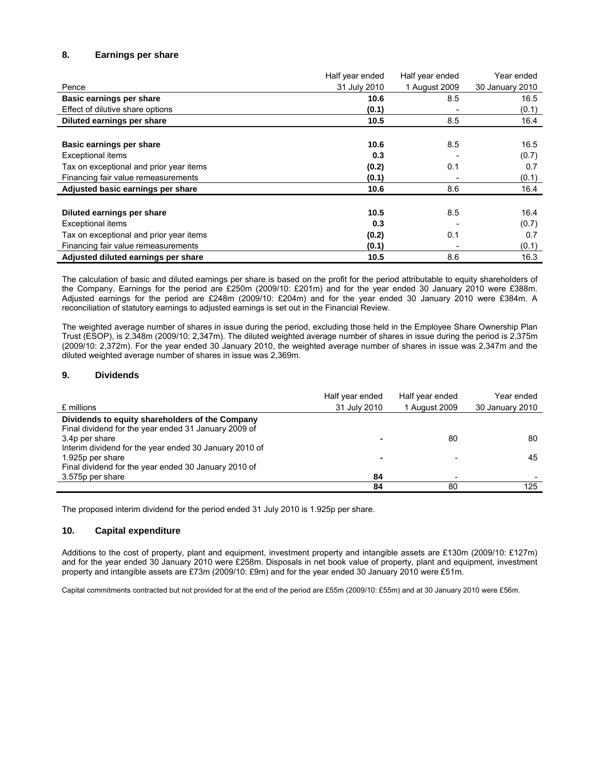#### **8. Earnings per share**

|                                         | Half year ended | Half year ended | Year ended      |
|-----------------------------------------|-----------------|-----------------|-----------------|
| Pence                                   | 31 July 2010    | 1 August 2009   | 30 January 2010 |
| Basic earnings per share                | 10.6            | 8.5             | 16.5            |
| Effect of dilutive share options        | (0.1)           |                 | (0.1)           |
| Diluted earnings per share              | 10.5            | 8.5             | 16.4            |
|                                         |                 |                 |                 |
| <b>Basic earnings per share</b>         | 10.6            | 8.5             | 16.5            |
| Exceptional items                       | 0.3             |                 | (0.7)           |
| Tax on exceptional and prior year items | (0.2)           | 0.1             | 0.7             |
| Financing fair value remeasurements     | (0.1)           |                 | (0.1)           |
| Adjusted basic earnings per share       | 10.6            | 8.6             | 16.4            |
|                                         |                 |                 |                 |
| Diluted earnings per share              | 10.5            | 8.5             | 16.4            |
| Exceptional items                       | 0.3             |                 | (0.7)           |
| Tax on exceptional and prior year items | (0.2)           | 0.1             | 0.7             |
| Financing fair value remeasurements     | (0.1)           |                 | (0.1)           |
| Adjusted diluted earnings per share     | 10.5            | 8.6             | 16.3            |

The calculation of basic and diluted earnings per share is based on the profit for the period attributable to equity shareholders of the Company. Earnings for the period are £250m (2009/10: £201m) and for the year ended 30 January 2010 were £388m. Adjusted earnings for the period are £248m (2009/10: £204m) and for the year ended 30 January 2010 were £384m. A reconciliation of statutory earnings to adjusted earnings is set out in the Financial Review.

The weighted average number of shares in issue during the period, excluding those held in the Employee Share Ownership Plan Trust (ESOP), is 2,348m (2009/10: 2,347m). The diluted weighted average number of shares in issue during the period is 2,375m (2009/10: 2,372m). For the year ended 30 January 2010, the weighted average number of shares in issue was 2,347m and the diluted weighted average number of shares in issue was 2,369m.

#### **9. Dividends**

|                                                        | Half year ended | Half year ended | Year ended      |
|--------------------------------------------------------|-----------------|-----------------|-----------------|
| £ millions                                             | 31 July 2010    | 1 August 2009   | 30 January 2010 |
| Dividends to equity shareholders of the Company        |                 |                 |                 |
| Final dividend for the year ended 31 January 2009 of   |                 |                 |                 |
| 3.4p per share                                         |                 | 80              | 80              |
| Interim dividend for the year ended 30 January 2010 of |                 |                 |                 |
| 1.925p per share                                       |                 |                 | 45              |
| Final dividend for the year ended 30 January 2010 of   |                 |                 |                 |
| 3.575p per share                                       | 84              | -               |                 |
|                                                        | 84              | 80              | 125             |

The proposed interim dividend for the period ended 31 July 2010 is 1.925p per share.

#### **10. Capital expenditure**

Additions to the cost of property, plant and equipment, investment property and intangible assets are £130m (2009/10: £127m) and for the year ended 30 January 2010 were £258m. Disposals in net book value of property, plant and equipment, investment property and intangible assets are £73m (2009/10: £9m) and for the year ended 30 January 2010 were £51m.

Capital commitments contracted but not provided for at the end of the period are £55m (2009/10: £55m) and at 30 January 2010 were £56m.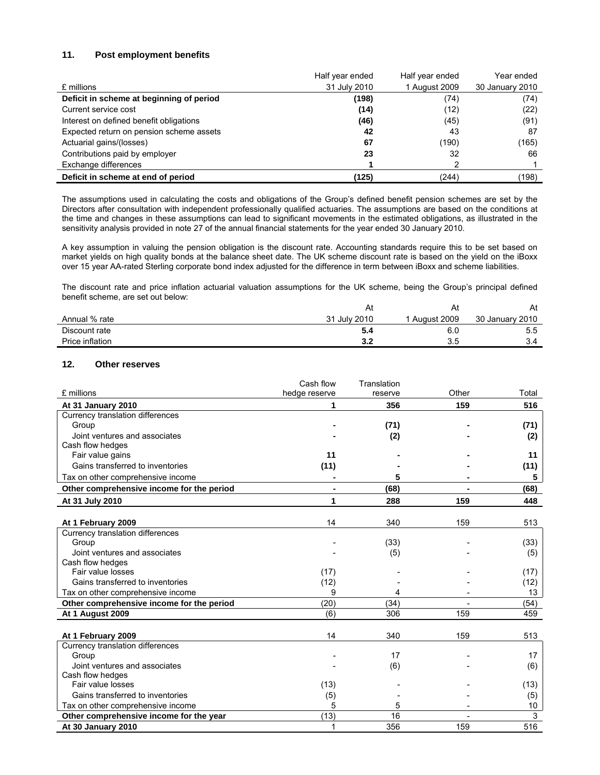#### **11. Post employment benefits**

|                                          | Half year ended | Half year ended | Year ended      |
|------------------------------------------|-----------------|-----------------|-----------------|
| £ millions                               | 31 July 2010    | 1 August 2009   | 30 January 2010 |
| Deficit in scheme at beginning of period | (198)           | (74)            | (74)            |
| Current service cost                     | (14)            | (12)            | (22)            |
| Interest on defined benefit obligations  | (46)            | (45)            | (91)            |
| Expected return on pension scheme assets | 42              | 43              | 87              |
| Actuarial gains/(losses)                 | 67              | (190)           | (165)           |
| Contributions paid by employer           | 23              | 32              | 66              |
| Exchange differences                     |                 |                 |                 |
| Deficit in scheme at end of period       | (125)           | (244)           | (198)           |

The assumptions used in calculating the costs and obligations of the Group's defined benefit pension schemes are set by the Directors after consultation with independent professionally qualified actuaries. The assumptions are based on the conditions at the time and changes in these assumptions can lead to significant movements in the estimated obligations, as illustrated in the sensitivity analysis provided in note 27 of the annual financial statements for the year ended 30 January 2010.

A key assumption in valuing the pension obligation is the discount rate. Accounting standards require this to be set based on market yields on high quality bonds at the balance sheet date. The UK scheme discount rate is based on the yield on the iBoxx over 15 year AA-rated Sterling corporate bond index adjusted for the difference in term between iBoxx and scheme liabilities.

The discount rate and price inflation actuarial valuation assumptions for the UK scheme, being the Group's principal defined benefit scheme, are set out below:

|                 | At           |             | At              |
|-----------------|--------------|-------------|-----------------|
| Annual % rate   | 31 July 2010 | August 2009 | 30 January 2010 |
| Discount rate   | ว.4          | 6.C         | 5.5             |
| Price inflation | J.Z          | J.J         | 3.4             |

#### **12. Other reserves**

|                                           | Cash flow     | Translation |       |       |
|-------------------------------------------|---------------|-------------|-------|-------|
| £ millions                                | hedge reserve | reserve     | Other | Total |
| At 31 January 2010                        | 1             | 356         | 159   | 516   |
| Currency translation differences          |               |             |       |       |
| Group                                     |               | (71)        |       | (71)  |
| Joint ventures and associates             |               | (2)         |       | (2)   |
| Cash flow hedges                          |               |             |       |       |
| Fair value gains                          | 11            |             |       | 11    |
| Gains transferred to inventories          | (11)          |             |       | (11)  |
| Tax on other comprehensive income         |               | 5           |       | 5     |
| Other comprehensive income for the period |               | (68)        |       | (68)  |
| At 31 July 2010                           | 1             | 288         | 159   | 448   |
|                                           |               |             |       |       |
| At 1 February 2009                        | 14            | 340         | 159   | 513   |
| Currency translation differences          |               |             |       |       |
| Group                                     |               | (33)        |       | (33)  |
| Joint ventures and associates             |               | (5)         |       | (5)   |
| Cash flow hedges<br>Fair value losses     |               |             |       |       |
|                                           | (17)          |             |       | (17)  |
| Gains transferred to inventories          | (12)          |             |       | (12)  |
| Tax on other comprehensive income         | 9             | 4           |       | 13    |
| Other comprehensive income for the period | (20)          | (34)        |       | (54)  |
| At 1 August 2009                          | (6)           | 306         | 159   | 459   |
|                                           |               |             |       |       |
| At 1 February 2009                        | 14            | 340         | 159   | 513   |
| Currency translation differences          |               |             |       |       |
| Group                                     |               | 17          |       | 17    |
| Joint ventures and associates             |               | (6)         |       | (6)   |
| Cash flow hedges                          |               |             |       |       |
| Fair value losses                         | (13)          |             |       | (13)  |
| Gains transferred to inventories          | (5)           |             |       | (5)   |
| Tax on other comprehensive income         | 5             | 5           |       | 10    |
| Other comprehensive income for the year   | (13)          | 16          |       | 3     |
| At 30 January 2010                        | 1             | 356         | 159   | 516   |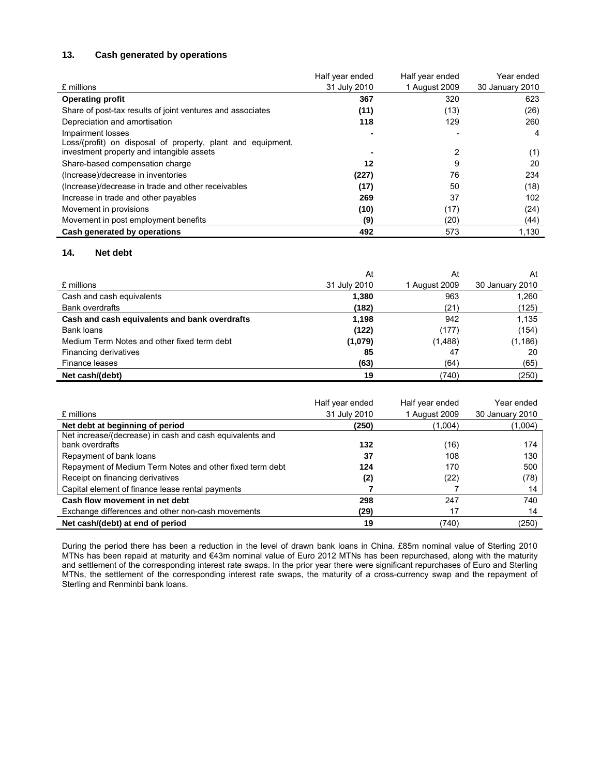#### **13. Cash generated by operations**

|                                                             | Half year ended | Half year ended | Year ended      |
|-------------------------------------------------------------|-----------------|-----------------|-----------------|
| £ millions                                                  | 31 July 2010    | 1 August 2009   | 30 January 2010 |
| <b>Operating profit</b>                                     | 367             | 320             | 623             |
| Share of post-tax results of joint ventures and associates  | (11)            | (13)            | (26)            |
| Depreciation and amortisation                               | 118             | 129             | 260             |
| Impairment losses                                           |                 |                 | 4               |
| Loss/(profit) on disposal of property, plant and equipment, |                 |                 |                 |
| investment property and intangible assets                   |                 | 2               | (1)             |
| Share-based compensation charge                             | 12              | 9               | 20              |
| (Increase)/decrease in inventories                          | (227)           | 76              | 234             |
| (Increase)/decrease in trade and other receivables          | (17)            | 50              | (18)            |
| Increase in trade and other payables                        | 269             | 37              | 102             |
| Movement in provisions                                      | (10)            | (17)            | (24)            |
| Movement in post employment benefits                        | (9)             | (20)            | (44)            |
| Cash generated by operations                                | 492             | 573             | 1.130           |

#### **14. Net debt**

|                                               | At           | At            | At              |
|-----------------------------------------------|--------------|---------------|-----------------|
| £ millions                                    | 31 July 2010 | 1 August 2009 | 30 January 2010 |
| Cash and cash equivalents                     | 1,380        | 963           | 1,260           |
| <b>Bank overdrafts</b>                        | (182)        | (21)          | (125)           |
| Cash and cash equivalents and bank overdrafts | 1,198        | 942           | 1.135           |
| Bank loans                                    | (122)        | (177)         | (154)           |
| Medium Term Notes and other fixed term debt   | (1,079)      | (1,488)       | (1, 186)        |
| Financing derivatives                         | 85           | 47            | 20              |
| Finance leases                                | (63)         | (64)          | (65)            |
| Net cash/(debt)                               | 19           | (740)         | (250)           |

|                                                          | Half year ended | Half year ended | Year ended      |
|----------------------------------------------------------|-----------------|-----------------|-----------------|
| £ millions                                               | 31 July 2010    | 1 August 2009   | 30 January 2010 |
| Net debt at beginning of period                          | (250)           | (1,004)         | (1,004)         |
| Net increase/(decrease) in cash and cash equivalents and |                 |                 |                 |
| bank overdrafts                                          | 132             | (16)            | 174             |
| Repayment of bank loans                                  | 37              | 108             | 130             |
| Repayment of Medium Term Notes and other fixed term debt | 124             | 170             | 500             |
| Receipt on financing derivatives                         | (2)             | (22)            | (78)            |
| Capital element of finance lease rental payments         |                 |                 | 14              |
| Cash flow movement in net debt                           | 298             | 247             | 740             |
| Exchange differences and other non-cash movements        | (29)            | 17              | 14              |
| Net cash/(debt) at end of period                         | 19              | (740)           | (250)           |

During the period there has been a reduction in the level of drawn bank loans in China. £85m nominal value of Sterling 2010 MTNs has been repaid at maturity and €43m nominal value of Euro 2012 MTNs has been repurchased, along with the maturity and settlement of the corresponding interest rate swaps. In the prior year there were significant repurchases of Euro and Sterling MTNs, the settlement of the corresponding interest rate swaps, the maturity of a cross-currency swap and the repayment of Sterling and Renminbi bank loans.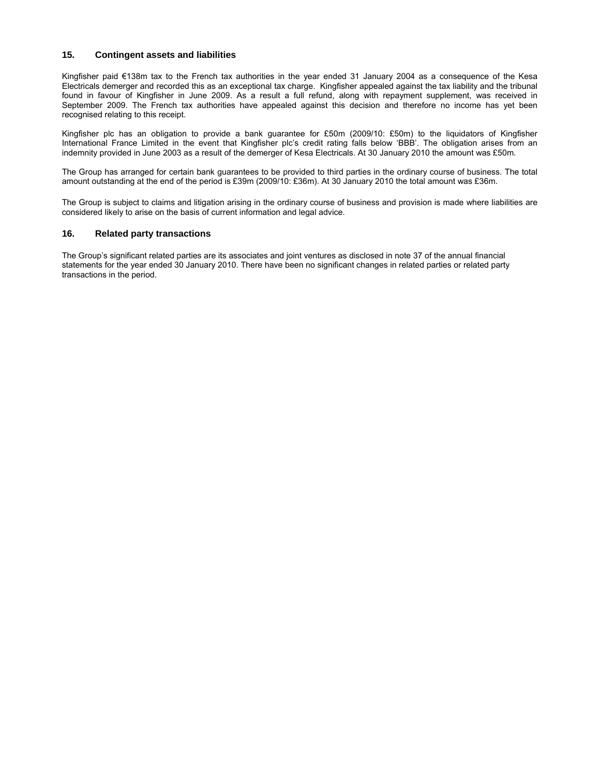#### **15. Contingent assets and liabilities**

Kingfisher paid €138m tax to the French tax authorities in the year ended 31 January 2004 as a consequence of the Kesa Electricals demerger and recorded this as an exceptional tax charge. Kingfisher appealed against the tax liability and the tribunal found in favour of Kingfisher in June 2009. As a result a full refund, along with repayment supplement, was received in September 2009. The French tax authorities have appealed against this decision and therefore no income has yet been recognised relating to this receipt.

Kingfisher plc has an obligation to provide a bank guarantee for £50m (2009/10: £50m) to the liquidators of Kingfisher International France Limited in the event that Kingfisher plc's credit rating falls below 'BBB'. The obligation arises from an indemnity provided in June 2003 as a result of the demerger of Kesa Electricals. At 30 January 2010 the amount was £50m.

The Group has arranged for certain bank guarantees to be provided to third parties in the ordinary course of business. The total amount outstanding at the end of the period is £39m (2009/10: £36m). At 30 January 2010 the total amount was £36m.

The Group is subject to claims and litigation arising in the ordinary course of business and provision is made where liabilities are considered likely to arise on the basis of current information and legal advice.

#### **16. Related party transactions**

The Group's significant related parties are its associates and joint ventures as disclosed in note 37 of the annual financial statements for the year ended 30 January 2010. There have been no significant changes in related parties or related party transactions in the period.